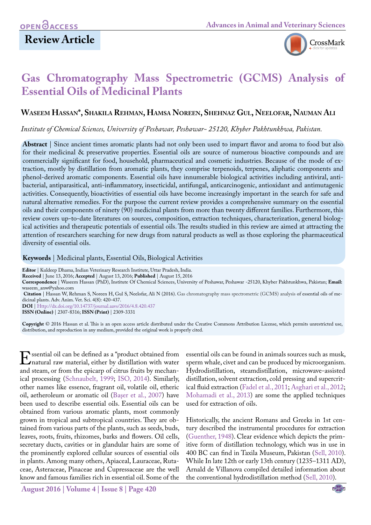## **Review Article**



# **Gas Chromatography Mass Spectrometric (GCMS) Analysis of Essential Oils of Medicinal Plants**

### **Waseem Hassan\*, Shakila Rehman, Hamsa Noreen, Shehnaz Gul, Neelofar, Nauman Ali**

*Institute of Chemical Sciences, University of Peshawar, Peshawar- 25120, Khyber Pakhtunkhwa, Pakistan.*

**Abstract** | Since ancient times aromatic plants had not only been used to impart flavor and aroma to food but also for their medicinal & preservative properties. Essential oils are source of numerous bioactive compounds and are commercially significant for food, household, pharmaceutical and cosmetic industries. Because of the mode of extraction, mostly by distillation from aromatic plants, they comprise terpenoids, terpenes, aliphatic components and phenol-derived aromatic components. Essential oils have innumerable biological activities including antiviral, antibacterial, antiparasitical, anti-inflammatory, insecticidal, antifungal, anticarcinogenic, antioxidant and antimutagenic activities. Consequently, bioactivities of essential oils have become increasingly important in the search for safe and natural alternative remedies. For the purpose the current review provides a comprehensive summary on the essential oils and their components of ninety (90) medicinal plants from more than twenty different families. Furthermore, this review covers up-to-date literatures on sources, composition, extraction techniques, characterization, general biological activities and therapeutic potentials of essential oils. The results studied in this review are aimed at attracting the attention of researchers searching for new drugs from natural products as well as those exploring the pharmaceutical diversity of essential oils.

#### **Keywords** | Medicinal plants, Essential Oils, Biological Activities

**Citation** | Hassan W, Rehman S, Noreen H, Gul S, Neelofar, Ali N (2016). Gas chromatography mass spectrometric (GCMS) analysis of essential oils of medicinal plants. Adv. Anim. Vet. Sci. 4(8): 420-437.

**DOI** | Http://dx.doi.org/10.14737/journal.aavs/2016/4.8.420.437

**ISSN (Online)** | 2307-8316; **ISSN (Print)** | 2309-3331

**Copyright** © 2016 Hassan et al. This is an open access article distributed under the Creative Commons Attribution License, which permits unrestricted use, distribution, and reproduction in any medium, provided the original work is properly cited.

Essential oil can be defined as a "product obtained from<br>
natural raw material, either by distillation with water<br>
and steam, or from the epicarp of citrus fruits by mechanand steam, or from the epicarp of citrus fruits by mechanical processing ([Schnaubelt, 1999](#page-10-0); [ISO, 2014](#page-7-0)). Similarly, other names like essence, fragrant oil, volatile oil, etheric oil, aetheroleum or aromatic oil [\(Başer et al., 2007\)](#page-5-0) have been used to describe essential oils. Essential oils can be obtained from various aromatic plants, most commonly grown in tropical and subtropical countries. They are obtained from various parts of the plants, such as seeds, buds, leaves, roots, fruits, rhizomes, barks and flowers. Oil cells, secretary ducts, cavities or in glandular hairs are some of the prominently explored cellular sources of essential oils in plants. Among many others, Apiaceal, Lauraceae, Rutaceae, Asteraceae, Pinaceae and Cupressaceae are the well know and famous families rich in essential oil. Some of the

**August 2016 | Volume 4 | Issue 8 | Page 420**

essential oils can be found in animals sources such as musk, sperm whale, civet and can be produced by microorganism. Hydrodistillation, steamdistillation, microwave-assisted distillation, solvent extraction, cold pressing and supercritical fluid extraction ([Fadel et al., 2011](#page-6-0); [Asghari et al., 2012;](#page-4-0) [Mohamadi et al., 2013\)](#page-8-0) are some the applied techniques used for extraction of oils.

Historically, the ancient Romans and Greeks in 1st century described the instrumental procedures for extraction [\(Guenther, 1948\)](#page-7-1). Clear evidence which depicts the primitive form of distillation technology, which was in use in 400 BC can find in Taxila Museum, Pakistan ([Sell, 2010\)](#page-10-0). While In late 12th or early 13th century (1235–1311 AD), Arnald de Villanova compiled detailed information about the conventional hydrodistillation method ([Sell, 2010\)](#page-10-0).

**Editor** | Kuldeep Dhama, Indian Veterinary Research Institute, Uttar Pradesh, India.

**Received** | June 13, 2016; **Accepted** | August 13, 2016; **Published** | August 15, 2016

**Correspondence** | Waseem Hassan (PhD), Institute Of Chemical Sciences, University of Peshawar, Peshawar -25120, Khyber Pakhtunkhwa, Pakistan; **Email:** waseem\_anw@yahoo.com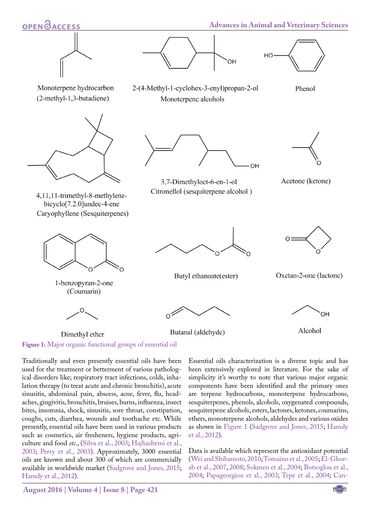



2-(4-Methyl-1-cyclohex-3-enyl)propan-2-ol

Monoterpene alcohols



Monoterpene hydrocarbon (2-methyl-1,3-butadiene)



4,11,11-trimethyl-8-methylenebicyclo<sup>[7.2.0]</sup>undec-4-ene Caryophyllene (Sesquiterpenes)



1-benzopyran-2-one (Coumarin)



Dimethyl ether





3,7-Dimethyloct-6-en-1-ol Citronellol (sesquiterpene alcohol)



Phenol

Acetone (ketone)



Butyl ethanoate(ester)



Butanal (aldehyde)



Oxetan-2-one (lactone)



Alcohol

<span id="page-1-0"></span>**Figure 1:** Major organic functional groups of essential oil

Traditionally and even presently essential oils have been used for the treatment or betterment of various pathological disorders like; respiratory tract infections, colds, inhalation therapy (to treat acute and chronic bronchitis), acute sinusitis, abdominal pain, abscess, acne, fever, flu, headaches, gingivitis, bronchitis, bruises, burns, influenza, insect bites, insomnia, shock, sinusitis, sore throat, constipation, coughs, cuts, diarrhea, wounds and toothache etc. While presently, essential oils have been used in various products such as cosmetics, air fresheners, hygiene products, agriculture and food *etc*., ([Silva et al., 2003;](#page-10-0) [Hajhashemi et al.,](#page-7-2) [2003](#page-7-2); [Perry et al., 2003](#page-9-0)). Approximately, 3000 essential oils are known and about 300 of which are commercially available in worldwide market [\(Sadgrove and Jones, 2015;](#page-10-0) [Hamdy et al., 2012\)](#page-7-2).

Essential oils characterization is a diverse topic and has been extensively explored in literature. For the sake of simplicity it's worthy to note that various major organic components have been identified and the primary ones are terpene hydrocarbons, monoterpene hydrocarbons, sesquiterpenes, phenols, alcohols, oxygenated compounds, sesquiterpene alcohols, esters, lactones, ketones, coumarins, ethers, monoterpene alcohols, aldehydes and various oxides as shown in [Figure 1](#page-1-0) [\(Sadgrove and Jones, 2015](#page-10-0); [Hamdy](#page-7-2)  [et al., 2012\)](#page-7-2).

Data is available which represent the antioxidant potential ([Wei and Shibamoto, 2010](#page-12-0); [Tomaino et al., 2005;](#page-11-0) [El-Ghor](#page-6-1)[ab et al., 2007, 2008](#page-6-1); [Sokmen et al., 2004;](#page-10-0) [Botsoglou et al.,](#page-5-0)  [2004;](#page-5-0) [Papageorgiou et al., 2003](#page-9-0); [Tepe et al., 2004;](#page-11-0) [Can-](#page-5-1)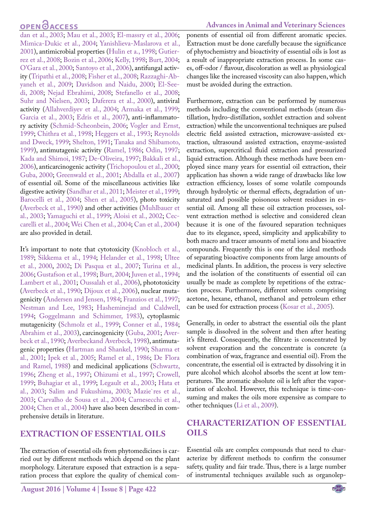## **OPEN**<sub>d</sub>

[dan et al., 2003;](#page-5-1) [Mau et al., 2003;](#page-8-0) [El-massry et al., 2006;](#page-6-1) [Mimica-Dukic et al., 2004;](#page-8-0) [Yanishlieva-Maslarova et al.,](#page-12-1) [2001](#page-12-1)), antimicrobial properties [\(Hulin et a., 1998](#page-7-2); [Gutier](#page-7-1)[rez et al., 2008](#page-7-1); [Bozin et al., 2006](#page-5-0); [Kelly, 1998](#page-7-3); [Burt, 2004;](#page-5-0) [O'Gara et al., 2000](#page-9-1); [Santoyo et al., 2006\)](#page-10-0), antifungal activity ([Tripathi et al., 2008](#page-11-0); [Fisher et al., 2008;](#page-7-4) [Razzaghi-Ab](#page-9-2)[yaneh et al., 2009;](#page-9-2) [Davidson and Naidu, 2000](#page-6-2); [El-See](#page-6-1)[di, 2008;](#page-6-1) [Nejad Ebrahimi, 2008](#page-9-3); [Stefanello et al., 2008;](#page-10-0) [Suhr and Nielsen, 2003;](#page-10-0) [Daferera et al., 2000](#page-6-2)), antiviral activity [\(Allahverdiyev et al., 2004;](#page-4-0) [Armaka et al., 1999;](#page-4-0) [Garcia et al., 2003;](#page-7-1) [Edris et al., 2007\)](#page-6-1), anti-inflammatory activity [\(Schmid-Scheonbein, 2006;](#page-10-0) [Vogler and Ernst,](#page-11-1) [1999](#page-11-1); [Chithra et al., 1998;](#page-5-1) [Heggers et al., 1993;](#page-7-2) [Reynolds](#page-9-2) [and Dweck, 1999;](#page-9-2) [Shelton, 1991;](#page-10-0) [Tanaka and Shibamoto,](#page-11-0) [1999](#page-11-0)), antimutagenic activity ([Ramel, 1986;](#page-9-2) [Odin, 1997;](#page-9-1) [Kada and Shimoi, 1987;](#page-7-3) [De-Oliveira, 1997](#page-6-2); [Bakkali et al.,](#page-5-0) [2006](#page-5-0)), anticarcinogenic activity [\(Trichopoulou et al., 2000;](#page-11-0) [Guba, 2000;](#page-7-1) [Greenwald et al., 2001;](#page-7-1) [Abdalla et al., 2007\)](#page-4-0) of essential oil. Some of the miscellaneous activities like digestive activity ([Sandhar et al., 2011](#page-10-0); [Meister et al., 1999;](#page-8-0) [Barocelli et al., 2004;](#page-5-0) [Shen et al., 2005\)](#page-10-0), photo toxicity ([Averbeck et al., 1990\)](#page-4-0) and other activities ([Muhlbauer et](#page-8-0) [al., 2003;](#page-8-0) [Yamaguchi et al., 1999;](#page-12-1) [Aloisi et al., 2002;](#page-4-0) [Cec](#page-5-1)[carelli et al., 2004](#page-5-1); [Wei Chen et al., 2004](#page-12-0); [Can et al., 2004\)](#page-5-1) are also provided in detail.

It's important to note that cytotoxicity ([Knobloch et al.,](#page-7-3) [1989](#page-7-3); [Sikkema et al., 1994](#page-10-0); [Helander et al., 1998;](#page-7-2) [Ultee](#page-11-2) [et al., 2000,](#page-11-2) [2002](#page-11-2); [Di Pasqua et al., 2007;](#page-6-2) [Turina et al.,](#page-11-0) [2006](#page-11-0); [Gustafson et al., 1998;](#page-7-1) [Burt, 2004](#page-5-0); [Juven et al., 1994;](#page-7-5) [Lambert et al., 2001;](#page-8-1) [Oussalah et al., 2006](#page-9-1)), phototoxicity ([Averbeck et al., 1990](#page-4-0); [Dijoux et al., 2006](#page-6-2)), nuclear mutagenicity [\(Andersen and Jensen, 1984;](#page-4-0) [Franzios et al., 1997;](#page-7-4) [Nestman and Lee, 1983;](#page-9-3) [Hasheminejad and Caldwell,](#page-7-2) [1994](#page-7-2); [Goggelmann and Schimmer, 1983\)](#page-7-1), cytoplasmic mutagenicity [\(Schmolz et al., 1999;](#page-10-0) [Conner et al., 1984;](#page-5-1) [Abrahim et al., 2003\)](#page-4-0), carcinogenicity [\(Guba, 2001](#page-7-1); [Aver](#page-4-0)[beck et al., 1990; Averbeckand Averbeck, 1998](#page-4-0)), antimutagenic properties ([Hartman and Shankel, 1990;](#page-7-2) [Sharma et](#page-10-0) [al., 2001;](#page-10-0) [Ipek et al., 2005](#page-7-6); [Ramel et al., 1986;](#page-9-2) [De Flora](#page-6-2) [and Ramel, 1988\)](#page-6-2) and medicinal applications [\(Schwartz,](#page-10-0) [1996](#page-10-0); [Zheng et al., 1997](#page-12-2); [Ohizumi et al., 1997;](#page-9-1) [Crowell,](#page-5-1) [1999](#page-5-1); [Buhagiar et al., 1999](#page-5-0); [Legault et al., 2003](#page-8-1); [Hata et](#page-7-2) [al., 2003](#page-7-2); [Salim and Fukushima, 2003](#page-10-0); [Mazie`res et al.,](#page-8-0) [2003](#page-8-0); [Carvalho de Sousa et al., 2004;](#page-5-1) [Carnesecchi et al.,](#page-5-1) [2004](#page-5-1); [Chen et al., 2004\)](#page-5-1) have also been described in comprehensive details in literature.

### **EXTRACTION OF ESSENTIAL OILS**

The extraction of essential oils from phytomedicines is carried out by different methods which depend on the plant morphology. Literature exposed that extraction is a separation process that explore the quality of chemical components of essential oil from different aromatic species. Extraction must be done carefully because the significance of phytochemistry and bioactivity of essential oils is lost as a result of inappropriate extraction process. In some cases, off-odor / flavour, discoloration as well as physiological changes like the increased viscosity can also happen, which must be avoided during the extraction.

Furthermore, extraction can be performed by numerous methods including the conventional methods (steam distillation, hydro-distillation, soxhlet extraction and solvent extraction) while the unconventional techniques are pulsed electric field assisted extraction, microwave-assisted extraction, ultrasound assisted extraction, enzyme-assisted extraction, supercritical fluid extraction and pressurized liquid extraction. Although these methods have been employed since many years for essential oil extraction, their application has shown a wide range of drawbacks like low extraction efficiency, losses of some volatile compounds through hydrolytic or thermal effects, degradation of unsaturated and possible poisonous solvent residues in essential oil. Among all these oil extraction processes, solvent extraction method is selective and considered clean because it is one of the favoured separation techniques due to its elegance, speed, simplicity and applicability to both macro and tracer amounts of metal ions and bioactive compounds. Frequently this is one of the ideal methods of separating bioactive components from large amounts of medicinal plants. In addition, the process is very selective and the isolation of the constituents of essential oil can usually be made as complete by repetitions of the extraction process. Furthermore, different solvents comprising acetone, hexane, ethanol, methanol and petroleum ether can be used for extraction process ([Kosar et al., 2005](#page-7-3)).

Generally, in order to abstract the essential oils the plant sample is dissolved in the solvent and then after heating it's filtered. Consequently, the filtrate is concentrated by solvent evaporation and the concentrate is concrete (a combination of wax, fragrance and essential oil). From the concentrate, the essential oil is extracted by dissolving it in pure alcohol which alcohol absorbs the scent at low temperatures. The aromatic absolute oil is left after the vaporization of alcohol. However, this technique is time-consuming and makes the oils more expensive as compare to other techniques [\(Li et al., 2009\)](#page-8-1).

### **CHARACTERIZATION OF ESSENTIAL OILS**

Essential oils are complex compounds that need to characterize by different methods to confirm the consumer safety, quality and fair trade. Thus, there is a large number of instrumental techniques available such as organolep-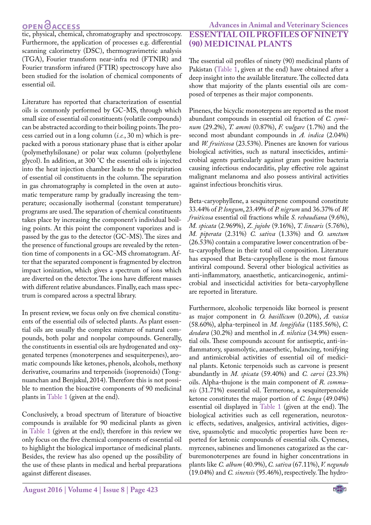## **OPEN**OACCESS

**Advances in Animal and Veterinary Sciences ESSENTIAL OIL PROFILES OF NINETY (90) MEDICINAL PLANTS** 

**OPEN OACCESS**<br>tic, physical, chemical, chromatography and spectroscopy. Furthermore, the application of processes e.g. differential scanning calorimetry (DSC), thermogravimetric analysis (TGA), Fourier transform near-infra red (FTNIR) and Fourier transform infrared (FTIR) spectroscopy have also been studied for the isolation of chemical components of essential oil.

Literature has reported that characterization of essential oils is commonly performed by GC-MS, through which small size of essential oil constituents (volatile compounds) can be abstracted according to their boiling points. The process carried out in a long column (*i.e.*, 30 m) which is prepacked with a porous stationary phase that is either apolar (polymethylsiloxane) or polar wax column (polyethylene glycol). In addition, at 300 °C the essential oils is injected into the heat injection chamber leads to the precipitation of essential oil constituents in the column. The separation in gas chromatography is completed in the oven at automatic temperature ramp by gradually increasing the temperature; occasionally isothermal (constant temperature) programs are used. The separation of chemical constituents takes place by increasing the component's individual boiling points. At this point the component vaporizes and is passed by the gas to the detector (GC-MS). The sizes and the presence of functional groups are revealed by the retention time of components in a GC-MS chromatogram. After that the separated component is fragmented by electron impact ionization, which gives a spectrum of ions which are diverted on the detector. The ions have different masses with different relative abundances. Finally, each mass spectrum is compared across a spectral library.

In present review, we focus only on five chemical constituents of the essential oils of selected plants. As plant essential oils are usually the complex mixture of natural compounds, both polar and nonpolar compounds. Generally, the constituents in essential oils are hydrogenated and oxygenated terpenes (monoterpenes and sesquiterpenes), aromatic compounds like ketones, phenols, alcohols, methoxy derivative, coumarins and terpenoids (isoprenoids) (Tongnuanchan and Benjakul, 2014). Therefore this is not possible to mention the bioactive components of 90 medicinal plants in [Table 1](#page-12-3) (given at the end).

Conclusively, a broad spectrum of literature of bioactive compounds is available for 90 medicinal plants as given in [Table 1](#page-12-3) (given at the end); therefore in this review we only focus on the five chemical components of essential oil to highlight the biological importance of medicinal plants. Besides, the review has also opened up the possibility of the use of these plants in medical and herbal preparations against different diseases.

The essential oil profiles of ninety (90) medicinal plants of Pakistan ([Table 1](#page-12-3), given at the end) have obtained after a deep insight into the available literature. The collected data show that majority of the plants essential oils are composed of terpenes as their major components.

Pinenes, the bicyclic monoterpens are reported as the most abundant compounds in essential oil fraction of *C. cyminum* (29.2%), *T. ammi* (0.87%), *F. vulgare* (1.7%) and the second most abundant compounds in *A. indica* (2.04%) and *W. fruiticosa* (23.53%). Pinenes are known for various biological activities, such as natural insecticides, antimicrobial agents particularly against gram positive bacteria causing infectious endocarditis, play effective role against malignant melanoma and also possess antiviral activities against infectious bronchitis virus.

Beta-caryophyllene, a sesquiterpene compound constitute 33.44% of *P. longum*, 23.49% of *P. nigrum* and 36.37% of *W. fruiticosa* essential oil fractions while *S. rebaudiana* (9.6%), *M. spicata* (2.969%), *Z. jujobe* (9.16%), *T. linearis* (5.76%), *M. piperata* (2.31%) *C. sativa* (1.33%) and *O. sanctum* (26.53%) contain a comparative lower concentration of beta-caryophyllene in their total oil composition. Literature has exposed that Beta-caryophyllene is the most famous antiviral compound. Several other biological activities as anti-inflammatory, anaesthetic, anticarcinogenic, antimicrobial and insecticidal activities for beta-caryophyllene are reported in literature.

Furthermore, alcoholic terpenoids like borneol is present as major component in *O. basillicum* (0.20%), *A. vasica* (58.60%), alpha-terpineol in *M. longifolia* (1185.56%), *C. deodara* (30.2%) and menthol in *A. nilotica* (34.9%) essential oils. These compounds account for antiseptic, anti-inflammatory, spasmolytic, anaesthetic, balancing, tonifying and antimicrobial activities of essential oil of medicinal plants. Ketonic terpenoids such as carvone is present abundantly in *M. spicata* (59.40%) and *C. carvi* (23.3%) oils. Alpha-thujone is the main component of *R. communis* (31.71%) essential oil. Termerone, a sesquiterpenoide ketone constitutes the major portion of *C. longa* (49.04%) essential oil displayed in [Table 1](#page-12-3) (given at the end). The biological activities such as cell regeneration, neurotoxic effects, sedatives, analgesics, antiviral activities, digestive, spasmolytic and mucolytic properties have been reported for ketonic compounds of essential oils. Cymenes, myrcenes, sabinenes and limonenes catogarized as the carburemonoterpenes are found in higher concentrations in plants like *C. album* (40.9%), *C. sativa* (67.11%), *V. negundo* (19.04%) and *C. sinensis* (95.46%), respectively. The hydro-

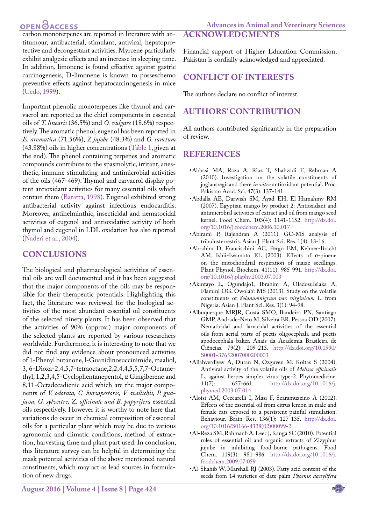## **OPEN**<sub>d</sub>

carbon monoterpenes are reported in literature with antitumour, antibacterial, stimulant, antiviral, hepatoprotective and decongestant activities. Myrcene particularly exhibit analgesic effects and an increase in sleeping time. In addition, limonene is found effective against gastric carcinogenesis, D-limonene is known to posseschemo preventive effects against hepatocarcinogenesis in mice ([Uedo, 1999](#page-11-2)).

Important phenolic monoterpenes like thymol and carvacrol are reported as the chief components in essential oils of *T. linearis* (36.5%) and *O. vulgare* (18.6%) respectively. The aromatic phenol, eugenol has been reported in *E. aromatica* (71.56%), *Z.jujobe* (48.3%) and *O. sanctum* (43.88%) oils in higher concentrations [\(Table 1,](#page-12-3) given at the end). The phenol containing terpenes and aromatic compounds contribute to the spasmolytic, irritant, anesthetic, immune stimulating and antimicrobial activities of the oils (467-469). Thymol and carvacrol display potent antioxidant activities for many essential oils which contain them ([Baratta, 1998](#page-5-0)). Eugenol exhibited strong antibacterial activity against infectious endocarditis. Moreover, antihelminthic, insecticidal and nematocidal activities of eugenol and antioxidative activity of both thymol and eugenol in LDL oxidation has also reported ([Naderi et al., 2004](#page-9-3)).

### **CONCLUSIONS**

The biological and pharmacological activities of essential oils are well documented and it has been suggested that the major components of the oils may be responsible for their therapeutic potentials. Highlighting this fact, the literature was reviewed for the biological activities of the most abundant essential oil constituents of the selected ninety plants. It has been observed that the activities of 90% (approx.) major components of the selected plants are reported by various researchers worldwide. Furthermore, it is interesting to note that we did not find any evidence about pronounced activities of 1-Phenyl butanone, l-Guanidinosuccinimide, maaliol, 3, 6-Dioxa-2,4,5,7-tetraoctane,2,2,4,4,5,5,7,7-Octamethyl, 1,2,3,4,5-Cyclophentanepentol, α Gingiberene and 8,11-Octadecadienic acid which are the major components of *V. odorata, C. bursapestoris, V. wallichii, P. guajava, G. sylvestre, Z. officinale and B. papyrifera* essential oils respectively. However it is worthy to note here that variations do occur in chemical composition of essential oils for a particular plant which may be due to various agronomic and climatic conditions, method of extraction, harvesting time and plant part used. In conclusion, this literature survey can be helpful in determining the mask potential activities of the above mentioned natural constituents, which may act as lead sources in formulation of new drugs.

Financial support of Higher Education Commission, Pakistan is cordially acknowledged and appreciated.

### **CONFLICT OF INTERESTS**

The authors declare no conflict of interest.

## **AUTHORS' CONTRIBUTION**

All authors contributed significantly in the preparation of review.

### **REFERENCES**

- <span id="page-4-0"></span>•Abbasi MA, Raza A, Riaz T, Shahzadi T, Rehman A (2010). Investigation on the volatile constituents of juglansregiaand there *in vitro* antioxidant potential. Proc. Pakistan Acad. Sci. 47(3): 137-141.
- •Abdalla AE, Darwish SM, Ayad EH, El-Hamahmy RM (2007). Egyptian mango by-product 2: Antioxidant and antimicrobial activities of extract and oil from mango seed kernel. Food Chem. 103(4): 1141-1152. [http://dx.doi.](http://dx.doi.org/10.1016/j.foodchem.2006.10.017) [org/10.1016/j.foodchem.2006.10.017](http://dx.doi.org/10.1016/j.foodchem.2006.10.017)
- •Abirami P, Rajendran A (2011). GC-MS analysis of tribulusterrestris. Asian J. Plant Sci. Res. 1(4): 13-16.
- •Abrahim D, Francischini AC, Pergo EM, Kelmer-Bracht AM, Ishii-Iwamoto EL (2003). Effects of α-pinene on the mitochondrial respiration of maize seedlings. Plant Physiol. Biochem. 41(11): 985-991. [http://dx.doi.](http://dx.doi.org/10.1016/j.plaphy.2003.07.003) [org/10.1016/j.plaphy.2003.07.003](http://dx.doi.org/10.1016/j.plaphy.2003.07.003)
- •Akintayo L, Ogundajo1, Ibrahim A, OladosuIsiaka A, Flamini OG, Owolabi MS (2013). Study on the volatile constituents of *Solanumnigrum var. virginicum* L. from Nigeria. Asian J. Plant Sci. Res. 3(1): 94-98.
- •Albuquerque MRJR, Costa SMO, Bandeira PN, Santiago GMP, Andrade-Neto M, Silveira ER, Pessoa OD (2007). Nematicidal and larvicidal activities of the essential oils from aerial parts of pectis oligocephala and pectis apodocephala baker. Anais da Academia Brasileira de Ciências. 79(2): 209-213. [http://dx.doi.org/10.1590/](http://dx.doi.org/10.1590/S0001-37652007000200003) [S0001-37652007000200003](http://dx.doi.org/10.1590/S0001-37652007000200003)
- •Allahverdiyev A, Duran N, Ozguven M, Koltas S (2004). Antiviral activity of the volatile oils of *Melissa officinalis* L. against herpes simplex virus type-2. Phytomedicine.<br>11(7): 657-661. http://dx.doi.org/10.1016/j. 11(7): 657-661. [http://dx.doi.org/10.1016/j.](http://dx.doi.org/10.1016/j.phymed.2003.07.014) [phymed.2003.07.014](http://dx.doi.org/10.1016/j.phymed.2003.07.014)
- •Aloisi AM, Ceccarelli I, Masi F, Scaramuzzino A (2002). Effects of the essential oil from citrus lemon in male and female rats exposed to a persistent painful stimulation. Behaviour. Brain Res. 136(1): 127-135. [http://dx.doi.](http://dx.doi.org/10.1016/S0166-4328(02)00099-2) [org/10.1016/S0166-4328\(02\)00099-2](http://dx.doi.org/10.1016/S0166-4328(02)00099-2)
- •Al-Reza SM, Rahmanb A, Leec J, Kanga SC (2010). Potential roles of essential oil and organic extracts of Zizyphus jujube in inhibiting food-borne pathogens. Food Chem. 119(3): 981–986. [http://dx.doi.org/10.1016/j.](http://dx.doi.org/10.1016/j.foodchem.2009.07.059) [foodchem.2009.07.059](http://dx.doi.org/10.1016/j.foodchem.2009.07.059)
- •Al‐Shahib W, Marshall RJ (2003). Fatty acid content of the seeds from 14 varieties of date palm *Phoenix dactylifera*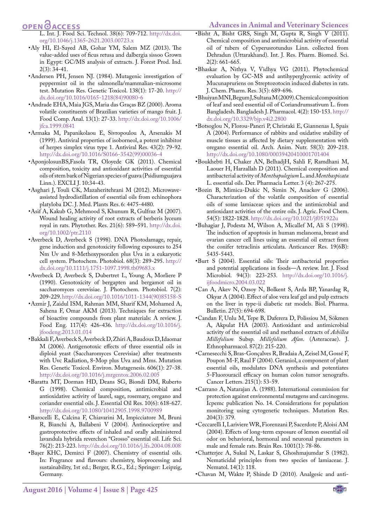## **OPEN**<sub>d</sub>

L. Int. J. Food Sci. Technol. 38(6): 709-712. [http://dx.doi.](http://dx.doi.org/10.1046/j.1365-2621.2003.00723.x) [org/10.1046/j.1365-2621.2003.00723.x](http://dx.doi.org/10.1046/j.1365-2621.2003.00723.x)

- •Aly HI, El-Sayed AB, Gohar YM, Salem MZ (2013). The value-added uses of ficus retusa and dalbergia sissoo Grown in Egypt: GC/MS analysis of extracts. J. Forest Prod. Ind. 2(3): 34-41.
- •Andersen PH, Jensen NJ. (1984). Mutagenic investigation of peppermint oil in the salmonella/mammalian-microsome test. Mutation Res. Genetic Toxicol. 138(1): 17-20. [http://](http://dx.doi.org/10.1016/0165-1218(84)90080-6) [dx.doi.org/10.1016/0165-1218\(84\)90080-6](http://dx.doi.org/10.1016/0165-1218(84)90080-6)
- •Andrade EHA, Maia JGS, Maria das Graças BZ (2000). Aroma volatile constituents of Brazilian varieties of mango fruit. J. Food Comp. Anal. 13(1): 27-33. [http://dx.doi.org/10.1006/](http://dx.doi.org/10.1006/jfca.1999.0841) [jfca.1999.0841](http://dx.doi.org/10.1006/jfca.1999.0841)
- •Armaka M, Papanikolaou E, Sivropoulou A, Arsenakis M (1999). Antiviral properties of isoborneol, a potent inhibitor of herpes simplex virus type 1. Antiviral Res. 43(2): 79-92. [http://dx.doi.org/10.1016/S0166-3542\(99\)00036-4](http://dx.doi.org/10.1016/S0166-3542(99)00036-4)
- •AponjolosunBS,Fasola TR, Oloyede GK (2011). Chemical composition, toxicity and antioxidant activities of essential oils of stem bark of Nigerian species of guava (Psidiumguajava Linn.). EXCLI J. 10:34-43.
- •Asghari J, Touli CK, Mazaheritehrani M (2012). Microwaveassisted hydrodistillation of essential oils from echinophora platyloba DC. J. Med. Plants Res. 6: 4475-4480.
- •Asif A, Kakub G, Mehmood S, Khunum R, Gulfraz M (2007). Wound healing activity of root extracts of berberis lyceum royal in rats. Phytother. Res. 21(6): 589–591. [http://dx.doi.](http://dx.doi.org/10.1002/ptr.2110) [org/10.1002/ptr.2110](http://dx.doi.org/10.1002/ptr.2110)
- •Averbeck D, Averbeck S (1998). DNA Photodamage, repair, gene induction and genotoxicity following exposures to 254 Nm Uv and 8‐Methoxypsoralen plus Uva in a eukaryotic cell system. Photochem. Photobiol. 68(3): 289-295. [http://](http://dx.doi.org/10.1111/j.1751-1097.1998.tb09683.x) [dx.doi.org/10.1111/j.1751-1097.1998.tb09683.x](http://dx.doi.org/10.1111/j.1751-1097.1998.tb09683.x)
- •Averbeck D, Averbeck S, Dubertret L, Young A, Morliere P (1990). Genotoxicity of bergapten and bergamot oil in saccharomyces cerevisiae. J. Photochem. Photobiol. 7(2): 209-229. [http://dx.doi.org/10.1016/1011-1344\(90\)85158-S](http://dx.doi.org/10.1016/1011-1344(90)85158-S)
- •Azmir J, Zaidul ISM, Rahman MM, Sharif KM, Mohamed A, Sahena F, Omar AKM (2013). Techniques for extraction of bioactive compounds from plant materials: A review. J. Food Eng. 117(4): 426-436. [http://dx.doi.org/10.1016/j.](http://dx.doi.org/10.1016/j.jfoodeng.2013.01.014) [jfoodeng.2013.01.014](http://dx.doi.org/10.1016/j.jfoodeng.2013.01.014)
- <span id="page-5-0"></span>•Bakkali F, Averbeck S, Averbeck D, Zhiri A, Baudoux D, Idaomar M (2006). Antigenotoxic effects of three essential oils in diploid yeast (Saccharomyces Cerevisiae) after treatments with Uvc Radiation, 8-Mop plus Uva and Mms. Mutation Res. Genetic Toxicol. Environ. Mutagenesis. 606(1): 27-38. <http://dx.doi.org/10.1016/j.mrgentox.2006.02.005>
- •Baratta MT, Dorman HD, Deans SG, Biondi DM, Ruberto G (1998). Chemical composition, antimicrobial and antioxidative activity of laurel, sage, rosemary, oregano and coriander essential oils. J. Essential Oil Res. 10(6): 618-627. <http://dx.doi.org/10.1080/10412905.1998.9700989>
- •Barocelli E, Calcina F, Chiavarini M, Impicciatore M, Bruni R, Bianchi A, Ballabeni V (2004). Antinociceptive and gastroprotective effects of inhaled and orally administered lavandula hybrida reverchon "Grosso" essential oil. Life Sci. 76(2): 213-223.<http://dx.doi.org/10.1016/j.lfs.2004.08.008>
- •Başer KHC, Demirci F (2007). Chemistry of essential oils. In: Fragrance and flavours: chemistry, bioprocessing and sustainability, 1st ed.; Berger, R.G., Ed.; Springer: Leipzig, Germany.
- •Bisht A, Bisht GRS, Singh M, Gupta R, Singh V (2011). Chemical composition and antimicrobial activity of essential oil of tubers of Cyperusrotundus Linn. collected from Dehradun (Uttarakhand). Int. J. Res. Pharm. Biomed. Sci. 2(2): 661-665.
- •Bhaskar A, Nithya V, Vidhya VG (2011). Phytochemical evaluation by GC-MS and antihyperglycemic activity of Mucunapruriens on Streptozotocin induced diabetes in rats. J. Chem. Pharm. Res. 3(5): 689-696.
- •Bhuiyan MNI, Begum J, Sultana M (2009). Chemical composition of leaf and seed essential oil of Coriandrumsativum L. from Bangladesh. Bangladesh J. Pharmacol. 4(2): 150-153. [http://](http://dx.doi.org/10.3329/bjp.v4i2.2800) [dx.doi.org/10.3329/bjp.v4i2.2800](http://dx.doi.org/10.3329/bjp.v4i2.2800)
- •Botsoglou N, Florou-Paneri P, Christaki E, Giannenas I, Spais A (2004). Performance of rabbits and oxidative stability of muscle tissues as affected by dietary supplementation with oregano essential oil. Arch. Anim. Nutr. 58(3): 209-218. <http://dx.doi.org/10.1080/00039420410001701404>
- •Boukhebti H, Chaker AN, BelhadjH, Sahli F, Ramdhani M, Laouer H, Harzallah D (2011). Chemical composition and antibacterial activity of *Menthapulegium* L. and *Menthaspicata* L. essential oils. Der. Pharmacia Letter. 3 (4): 267-275.
- •Bozin B, Mimica-Dukic N, Simin N, Anackov G (2006). Characterization of the volatile composition of essential oils of some lamiaceae spices and the antimicrobial and antioxidant activities of the entire oils. J. Agric. Food Chem. 54(5): 1822-1828. <http://dx.doi.org/10.1021/jf051922u>
- •Buhagiar J, Podesta M, Wilson A, Micallef M, Ali S (1998). The induction of apoptosis in human melanoma, breast and ovarian cancer cell lines using an essential oil extract from the conifer tetraclinis articulata. Anticancer Res. 19(6B): 5435-5443.
- •Burt S (2004). Essential oils: Their antibacterial properties and potential applications in foods—A review. Int. J. Food Microbiol. 94(3): 223-253. [http://dx.doi.org/10.1016/j.](http://dx.doi.org/10.1016/j.ijfoodmicro.2004.03.022) [ijfoodmicro.2004.03.022](http://dx.doi.org/10.1016/j.ijfoodmicro.2004.03.022)
- <span id="page-5-1"></span>•Can A, Akev N, Ozsoy N, Bolkent S, Arda BP, Yanardag R, Okyar A (2004). Effect of aloe vera leaf gel and pulp extracts on the liver in type-ii diabetic rat models. Biol. Pharma. Bulletin. 27(5): 694-698.
- •Candan F, Unlu M, Tepe B, Daferera D, Polissiou M, Sökmen A, Akpulat HA (2003). Antioxidant and antimicrobial activity of the essential oil and methanol extracts of *Achillea Millefolium* Subsp*. Millefolium Afan*. (Asteraceae). J. Ethnopharmacol. 87(2): 215-220.
- •Carnesecchi S, Bras-Gonçalves R, Bradaia A, Zeisel M, Gossé F, Poupon M-F, Raul F (2004). Geraniol, a component of plant essential oils, modulates DNA synthesis and potentiates 5-Fluorouracil efficacy on human colon tumor xenografts. Cancer Letters. 215(1): 53-59.
- •Carrano A, Natarajan A. (1988). International commission for protection against environmental mutagens and carcinogens. Icpemc publication No. 14. Considerations for population monitoring using cytogenetic techniques. Mutation Res. 204(3): 379.
- •Ceccarelli I, Lariviere WR, Fiorenzani P, Sacerdote P, Aloisi AM (2004). Effects of long-term exposure of lemon essential oil odor on behavioral, hormonal and neuronal parameters in male and female rats. Brain Res. 1001(1): 78-86.
- •Chatterjee A, Sukul N, Laskar S, Ghoshmajumdar S (1982). Nematicidal principles from two species of lamiaceae. J. Nematol. 14(1): 118.
- •Chavan M, Wakte P, Shinde D (2010). Analgesic and anti-

**August 2016 | Volume 4 | Issue 8 | Page 425**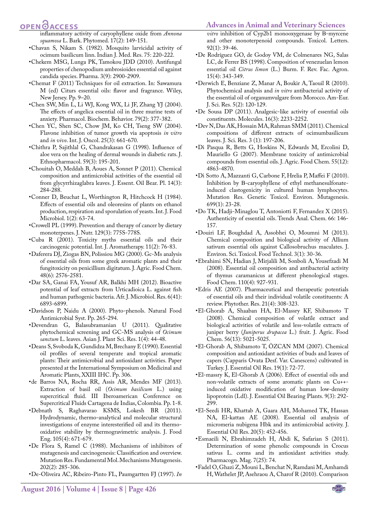### OPEN OACCESS

- inflammatory activity of caryophyllene oxide from *Annona squamosa* L. Bark. Phytomed. 17(2): 149-151.
- •Chavan S, Nikam S. (1982). Mosquito larvicidal activity of ocimum basilicum linn. Indian J. Med. Res. 75: 220-222.
- •Chekem MSG, Lunga PK, Tamokou JDD (2010). Antifungal properties of chenopodium ambrosioides essential oil against candida species. Pharma. 3(9): 2900-2909.
- •Chemat F (2011) Techniques for oil extraction. In: Sawamura M (ed) Citurs essential oils: flavor and fragrance. Wiley, New Jersey. Pp. 9–20.
- •Chen SW, Min L, Li WJ, Kong WX, Li JF, Zhang YJ (2004). The effects of angelica essential oil in three murine tests of anxiety. Pharmacol. Biochem. Behavior. 79(2): 377-382.
- •Chen YC, Shen SC, Chow JM, Ko CH, Tseng SW (2004). Flavone inhibition of tumor growth via apoptosis *in vitro* and *in vivo*. Int. J. Oncol. 25(3): 661-670.
- •Chithra P, Sajithlal G, Chandrakasan G (1998). Influence of aloe vera on the healing of dermal wounds in diabetic rats. J. Ethnopharmacol. 59(3): 195-201.
- •Chouitah O, Meddah B, Aoues A, Sonnet P (2011). Chemical composition and antimicrobial activities of the essential oil from glycyrrhizaglabra leaves. J. Essent. Oil Bear. Pl. 14(3): 284-288.
- •Conner D, Beuchat L, Worthington R, Hitchcock H (1984). Effects of essential oils and oleoresins of plants on ethanol production, respiration and sporulation of yeasts. Int. J. Food Microbiol. 1(2): 63-74.
- •Crowell PL (1999). Prevention and therapy of cancer by dietary monoterpenes. J. Nutr. 129(3): 775S-778S.
- •Cuba R (2001). Toxicity myths essential oils and their carcinogenic potential. Int. J. Aromatherapy. 11(2): 76-83.
- <span id="page-6-2"></span>•Daferera DJ, Ziogas BN, Polissiou MG (2000). Gc-Ms analysis of essential oils from some greek aromatic plants and their fungitoxicity on penicillium digitatum. J. Agric. Food Chem. 48(6): 2576-2581.
- •Dar SA, Ganai FA, Yousuf AR, Balkhi MH (2012). Bioactive potential of leaf extracts from Urticadioica L. against fish and human pathogenic bacteria. Afr. J. Microbiol. Res. 6(41): 6893-6899.
- •Davidson P, Naidu A (2000). Phyto-phenols. Natural Food Antimicrobial Syst. Pp. 265-294.
- •Devendran G, Balasubramanian U (2011). Qualitative phytochemical screening and GC-MS analysis of *Ocimum sanctum* L. leaves. Asian J. Plant Sci. Res. 1(4): 44-48.
- •Deans S, Svoboda K, Gundidza M, Brechany E (1990). Essential oil profiles of several temperate and tropical aromatic plants: Their antimicrobial and antioxidant activities. Paper presented at the International Symposium on Medicinal and Aromatic Plants, XXIII IHC. Pp. 306.
- •de Barros NA, Rocha RR, Assis AR, Mendes MF (2013). Extraction of basil oil (*Ocimum basilicum* L.) using supercritical fluid. III Iberoamerican Conference on Supercritical Fluids Cartagena de Indias, Colombia. Pp. 1-8.
- •Debnath S, Raghavarao KSMS, Lokesh BR (2011). Hydrodynamic, thermo-analytical and molecular structural investigations of enzyme interesterified oil and its thermooxidative stability by thermogravimetric analysis. J. Food Eng. 105(4): 671-679.
- •De Flora S, Ramel C (1988). Mechanisms of inhibitors of mutagenesis and carcinogenesis: Classification and overview. Mutation Res. Fundamental Mol. Mechanisms Mutagenesis. 202(2): 285-306.
- •De-Oliveira AC, Ribeiro-Pinto FL, Paumgartten FJ (1997). *In*

**August 2016 | Volume 4 | Issue 8 | Page 426**

*vitro* inhibition of Cyp2b1 monooxygenase by Β-myrcene and other monoterpenoid compounds. Toxicol. Letters. 92(1): 39-46.

- •De Rodríguez GO, de Godoy VM, de Colmenares NG, Salas LC, de Ferrer BS (1998). Composition of venezuelan lemon essential oil *Citrus limon* (L.) Burm. F. Rev. Fac. Agron. 15(4): 343-349.
- •Derwich E, Benziane Z, Manar A, Boukir A, Taouil R (2010). Phytochemical analysis and *in vitro* antibacterial activity of the essential oil of organumvulgare from Morocco. Am-Eur. J. Sci. Res. 5(2): 120-129.
- •De Sousa DP (2011). Analgesic-like activity of essential oils constituents. Molecules. 16(3): 2233-2252.
- •Dev N, Das AK, Hossain MA, Rahman SMM (2011). Chemical compositions of different extracts of ocimumbasilicum leaves. J. Sci. Res. 3 (1): 197-206.
- •Di Pasqua R, Betts G, Hoskins N, Edwards M, Ercolini D, Mauriello G (2007). Membrane toxicity of antimicrobial compounds from essential oils. J. Agric. Food Chem. 55(12): 4863-4870.
- •Di Sotto A, Mazzanti G, Carbone F, Hrelia P, Maffei F (2010). Inhibition by Β-caryophyllene of ethyl methanesulfonateinduced clastogenicity in cultured human lymphocytes. Mutation Res. Genetic Toxicol. Environ. Mutagenesis. 699(1): 23-28.
- •Do TK, Hadji-Minaglou T, Antoniotti F, Fernandez X (2015). Authenticity of essential oils. Trends Anal. Chem. 66: 146- 157.
- •Douiri LF, Boughdad A, Assobhei O, Moumni M (2013). Chemical composition and biological activity of Allium sativum essential oils against Callosobruchus maculates. J. Environ. Sci. Toxicol. Food Technol. 3(1): 30-36.
- <span id="page-6-1"></span>•Ebrahimi SN, Hadian J, Mirjalili M, Sonboli A, Yousefzadi M (2008). Essential oil composition and antibacterial activity of thymus caramanicus at different phenological stages. Food Chem. 110(4): 927-931.
- •Edris AE (2007). Pharmaceutical and therapeutic potentials of essential oils and their individual volatile constituents: A review. Phytother. Res. 21(4): 308-323.
- •El-Ghorab A, Shaaban HA, El-Massry KF, Shibamoto T (2008). Chemical composition of volatile extract and biological activities of volatile and less-volatile extracts of juniper berry (*Juniperus drupacea* L.) fruit. J. Agric. Food Chem. 56(13): 5021-5025.
- •El-Ghorab A, Shibamoto T, ÖZCAN MM (2007). Chemical composition and antioxidant activities of buds and leaves of capers (Capparis Ovata Desf. Var. Canescens) cultivated in Turkey. J. Essential Oil Res. 19(1): 72-77.
- •El-massry K, El-Ghorab A (2006). Effect of essential oils and non-volatile extracts of some aromatic plants on Cu++ induced oxidative modification of human low-density lipoprotein (Ldl). J. Essential Oil Bearing Plants. 9(3): 292- 299.
- •El-Seedi HR, Khattab A, Gaara AH, Mohamed TK, Hassan NA, El-kattan AE (2008). Essential oil analysis of micromeria nubigena Hbk and its antimicrobial activity. J. Essential Oil Res. 20(5): 452-456.
- •Esmaeili N, Ebrahimzadeh H, Abdi K, Safarian S (2011). Determination of some phenolic compounds in Crocus sativus L. corms and its antioxidant activities study. Pharmacogn. Mag. 7(25): 74.
- <span id="page-6-0"></span>•Fadel O, Ghazi Z, Mouni L, Benchat N, Ramdani M, Amhamdi H, Wathelet JP, Asehraou A, Charof R (2010). Comparison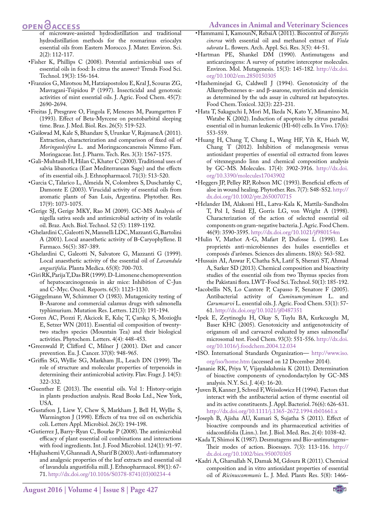### **OPEN**<sub>d</sub>

of microwave-assisted hydrodistillation and traditional hydrodistillation methods for the rosmarinus eriocalyx essential oils from Eastern Morocco. J. Mater. Environ. Sci. 2(2): 112-117.

- <span id="page-7-4"></span>•Fisher K, Phillips C (2008). Potential antimicrobial uses of essential oils in food: Is citrus the answer? Trends Food Sci. Technol. 19(3): 156-164.
- •Franzios G, Mirotsou M, Hatziapostolou E, Kral J, Scouras ZG, Mavragani-Tsipidou P (1997). Insecticidal and genotoxic activities of mint essential oils. J. Agric. Food Chem. 45(7): 2690-2694.
- •Freitas J, Presgrave O, Fingola F, Menezes M, Paumgartten F (1993). Effect of Beta-Myrcene on pentobarbital sleeping time. Braz. J. Med. Biol. Res. 26(5): 519-523.
- <span id="page-7-1"></span>•Gaikwad M, Kale S, Bhandare S, Urunkar V, RajmaneA (2011). Extraction, characterization and comparison of fixed oil of *Moringaoleifera* L. and Moringaconcanensis Nimmo Fam. Moringaceae. Int. J. Pharm. Tech. Res. 3(3): 1567-1575.
- •Gali-Muhtasib H, Hilan C, Khater C (2000). Traditional uses of salvia libanotica (East Mediterranean Sage) and the effects of its essential oils. J. Ethnopharmacol. 71(3): 513-520.
- •Garcia C, Talarico L, Almeida N, Colombres S, Duschatzky C, Damonte E (2003). Virucidal activity of essential oils from aromatic plants of San Luis, Argentina. Phytother. Res. 17(9): 1073-1075.
- •Gerige SJ, Gerige MKY, Rao M (2009). GC-MS Analysis of nigella sativa seeds and antimicrobial activity of its volatile oil. Braz. Arch. Biol. Technol. 52 (5): 1189-1192.
- •Ghelardini C, Galeotti N, Mannelli LDC, Mazzanti G, Bartolini A (2001). Local anaesthetic activity of Β-Caryophyllene. Il Farmaco. 56(5): 387-389.
- •Ghelardini C, Galeotti N, Salvatore G, Mazzanti G (1999). Local anaesthetic activity of the essential oil of *Lavandula angustifolia*. Planta Medica. 65(8): 700-703.
- •Giri RK, Parija T, Das BR (1999). D-Limonene chemoprevention of hepatocarcinogenesis in akr mice: Inhibition of C-Jun and C-Myc. Oncol. Reports. 6(5): 1123-1130.
- •Göggelmann W, Schimmer O (1983). Mutagenicity testing of Β-Asarone and commercial calamus drugs with salmonella typhimurium. Mutation Res. Letters. 121(3): 191-194.
- •Goren AC, Piozzi F, Akcicek E, Kılıç T, Çarıkçı S, Mozioğlu E, Setzer WN (2011). Essential oil composition of twentytwo stachys species (Mountain Tea) and their biological activities. Phytochem. Letters. 4(4): 448-453.
- •Greenwald P, Clifford C, Milner J (2001). Diet and cancer prevention. Eu. J. Cancer. 37(8): 948-965.
- •Griffin SG, Wyllie SG, Markham JL, Leach DN (1999). The role of structure and molecular properties of terpenoids in determining their antimicrobial activity. Flav. Fragr. J. 14(5): 322-332.
- •Guenther E (2013). The essential oils. Vol 1: History-origin in plants production analysis. Read Books Ltd., New York, USA.
- •Gustafson J, Liew Y, Chew S, Markham J, Bell H, Wyllie S, Warmington J (1998). Effects of tea tree oil on escherichia coli. Letters Appl. Microbiol. 26(3): 194-198.
- •Gutierrez J, Barry-Ryan C, Bourke P (2008). The antimicrobial efficacy of plant essential oil combinations and interactions with food ingredients. Int. J. Food Microbiol. 124(1): 91-97.
- <span id="page-7-2"></span>•Hajhashemi V, Ghannadi A, Sharif B (2003). Anti-inflammatory and analgesic properties of the leaf extracts and essential oil of lavandula angustifolia mill. J. Ethnopharmacol. 89(1): 67- 71. [http://dx.doi.org/10.1016/S0378-8741\(03\)00234-4](http://dx.doi.org/10.1016/S0378-8741(03)00234-4)
- •Hammami I, KamounN, RebaiA (2011). Biocontrol of *Botrytis cinerea* with essential oil and methanol extract of *Viola odorata* L. flowers. Arch. Appl. Sci. Res. 3(5): 44-51.
- •Hartman PE, Shankel DM (1990). Antimutagens and anticarcinogens: A survey of putative interceptor molecules. Environ. Mol. Mutagenesis. 15(3): 145-182. [http://dx.doi.](http://dx.doi.org/10.1002/em.2850150305) [org/10.1002/em.2850150305](http://dx.doi.org/10.1002/em.2850150305)
- •Hasheminejad G, Caldwell J (1994). Genotoxicity of the Alkenylbenzenes  $α-$  and  $β$ -asarone, myristicin and elemicin as determined by the uds assay in cultured rat hepatocytes. Food Chem. Toxicol. 32(3): 223-231.
- •Hata T, Sakaguchi I, Mori M, Ikeda N, Kato Y, Minamino M, Watabe K (2002). Induction of apoptosis by citrus paradisi essential oil in human leukemic (Hl-60) cells. In Vivo. 17(6): 553-559.
- •Huang H, Chang T, Chang L, Wang HF, Yih K, Hsieh W, Chang T (2012). Inhibition of melanogenesis versus antioxidant properties of essential oil extracted from leaves of vitexnegundo linn and chemical composition analysis by GC-MS. Molecules. 17(4): 3902-3916. [http://dx.doi.](http://dx.doi.org/10.3390/molecules17043902) [org/10.3390/molecules17043902](http://dx.doi.org/10.3390/molecules17043902)
- •Heggers JP, Pelley RP, Robson MC (1993). Beneficial effects of aloe in wound healing. Phytother. Res. 7(7): S48-S52. [http://](http://dx.doi.org/10.1002/ptr.2650070715) [dx.doi.org/10.1002/ptr.2650070715](http://dx.doi.org/10.1002/ptr.2650070715)
- •Helander IM, Alakomi HL, Latva-Kala K, Mattila-Sandholm T, Pol I, Smid EJ, Gorris LG, von Wright A (1998). Characterization of the action of selected essential oil components on gram-negative bacteria. J. Agric. Food Chem. 46(9): 3590-3595. <http://dx.doi.org/10.1021/jf980154m>
- •Hulin V, Mathot A-G, Mafart P, Dufosse L (1998). Les proprietés anti-microbiennes des huiles essentielles et composés d'arômes. Sciences des aliments. 18(6): 563-582.
- •Hussain AI, Anwar F, Chatha SA, Latif S, Sherazi ST, Ahmad A, Sarker SD (2013). Chemical composition and bioactivity studies of the essential oils from two Thymus species from the Pakistani flora. LWT-Food Sci. Technol. 50(1): 185-192.
- <span id="page-7-6"></span>•Iacobellis NS, Lo Cantore P, Capasso F, Senatore F (2005). Antibacterial activity of *Cuminumcyminum* L. and *Carumcarvi* L. essential oils. J. Agric. Food Chem. 53(1): 57- 61.<http://dx.doi.org/10.1021/jf0487351>
- •Ipek E, Zeytinoglu H, Okay S, Tuylu BA, Kurkcuoglu M, Baser KHC (2005). Genotoxicity and antigenotoxicity of origanum oil and carvacrol evaluated by ames salmonella/ microsomal test. Food Chem. 93(3): 551-556. [http://dx.doi.](http://dx.doi.org/10.1016/j.foodchem.2004.12.034) [org/10.1016/j.foodchem.2004.12.034](http://dx.doi.org/10.1016/j.foodchem.2004.12.034)
- <span id="page-7-0"></span>•ISO. International Standards Organization— [http://www.iso.](http://www.iso.org/iso/home.htm) [org/iso/home.htm](http://www.iso.org/iso/home.htm) (accessed on 12 December 2014).
- <span id="page-7-5"></span>•Jananie RK, Priya V, Vijayalakshmia K (2011). Determination of bioactive components of cynodondactylon by GC-MS analysis. N.Y. Sci. J. 4(4): 16-20.
- •Juven B, Kanner J, Schved F, Weisslowicz H (1994). Factors that interact with the antibacterial action of thyme essential oil and its active constituents. J. Appl. Bacteriol. 76(6): 626-631. <http://dx.doi.org/10.1111/j.1365-2672.1994.tb01661.x>
- •Joseph B, Ajisha AU, Kumari S, Sujatha S (2011). Effect of bioactive compounds and its pharmaceutical activities of sidacordifolia (Linn.). Int. J. Biol. Med. Res. 2(4): 1038-42.
- <span id="page-7-3"></span>•Kada T, Shimoi K (1987). Desmutagens and Bio‐antimutagens– Their modes of action. Bioessays. 7(3): 113-116. [http://](http://dx.doi.org/10.1002/bies.950070305) [dx.doi.org/10.1002/bies.950070305](http://dx.doi.org/10.1002/bies.950070305)
- •Kadri A, Gharsallah N, Damak M, Gdoura R (2011). Chemical composition and in vitro antioxidant properties of essential oil of *Ricinuscommunis* L. J. Med. Plants Res. 5(8): 1466-

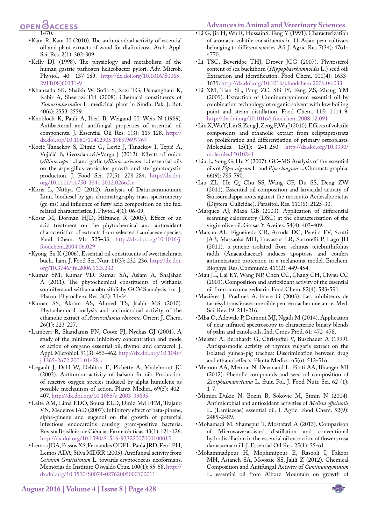# **OPEN OACCESS**

- 1470. •Kaur R, Kaur H (2010). The antimicrobial activity of essential oil and plant extracts of wood for diafruticosa. Arch. Appl. Sci. Res. 2(1): 302-309.
- •Kelly DJ. (1998). The physiology and metabolism of the human gastric pathogen helicobacter pylori. Adv. Microb. Physiol. 40: 137-189. [http://dx.doi.org/10.1016/S0065-](http://dx.doi.org/10.1016/S0065-2911(08)60131-9) [2911\(08\)60131-9](http://dx.doi.org/10.1016/S0065-2911(08)60131-9)
- •Khanzada SK, Shaikh W, Sofia S, Kazi TG, Usmanghani K, Kabir A, Sheerazi TH (2008). Chemical constituents of *Tamarindusindica* L. medicinal plant in Sindh. Pak. J. Bot. 40(6): 2553-2559.
- •Knobloch K, Pauli A, Iberl B, Weigand H, Weis N (1989). Antibacterial and antifungal properties of essential oil components. J. Essential Oil Res. 1(3): 119-128. [http://](http://dx.doi.org/10.1080/10412905.1989.9697767) [dx.doi.org/10.1080/10412905.1989.9697767](http://dx.doi.org/10.1080/10412905.1989.9697767)
- •Kocić‐Tanackov S, Dimić G, Lević J, Tanackov I, Tepić A, Vujičić B, Gvozdanović‐Varga J (2012). Effects of onion (*Allium cepa* L.) and garlic (*Allium sativum* L.) essential oils on the aspergillus versicolor growth and sterigmatocystin production. J. Food Sci. 77(5): 278-284. [http://dx.doi.](http://dx.doi.org/10.1111/j.1750-3841.2012.02662.x) [org/10.1111/j.1750-3841.2012.02662.x](http://dx.doi.org/10.1111/j.1750-3841.2012.02662.x)
- •Koria L, Nithya G (2012). Analysis of Daturastramonium Linn. biodiesel by gas chromatography-mass spectrometry (gc-ms) and influence of fatty acid composition on the fuel related characteristics. J. Phytol. 4(1): 06-09.
- •Kosar M, Dorman HJD, Hiltunen R (2005). Effect of an acid treatment on the phytochemical and antioxidant characteristics of extracts from selected Lamiaceae species. Food Chem. 91: 525–33. [http://dx.doi.org/10.1016/j.](http://dx.doi.org/10.1016/j.foodchem.2004.06.029) [foodchem.2004.06.029](http://dx.doi.org/10.1016/j.foodchem.2004.06.029)
- •Kyong-Su K (2006). Essential oil constituents of swertiachirata buch.-ham. J. Food Sci. Nutr. 11(3): 232-236. [http://dx.doi.](http://dx.doi.org/10.3746/jfn.2006.11.3.232) [org/10.3746/jfn.2006.11.3.232](http://dx.doi.org/10.3746/jfn.2006.11.3.232)
- •Kumar SM, Kumar VD, Kumar SA, Aslam A, Shajahan A (2011). The phytochemical constituents of withania somniferaand withania obtusifoliaby GCMS analysis. Int. J. Pharm. Phytochem. Res. 3(3): 31-34.
- •Kumar SS, Akram AS, Ahmed TS, Jaabir MS (2010). Phytochemical analysis and antimicrobial activity of the ethanolic extract of *Acoruscalamus rhizome*. Orient J. Chem. 26(1): 223-227.
- <span id="page-8-1"></span>•Lambert R, Skandamis PN, Coote PJ, Nychas GJ (2001). A study of the minimum inhibitory concentration and mode of action of oregano essential oil, thymol and carvacrol. J. Appl. Microbiol. 91(3): 453-462. [http://dx.doi.org/10.1046/](http://dx.doi.org/10.1046/j.1365-2672.2001.01428.x) [j.1365-2672.2001.01428.x](http://dx.doi.org/10.1046/j.1365-2672.2001.01428.x)
- •Legault J, Dahl W, Debiton E, Pichette A, Madelmont JC (2003). Antitumor activity of balsam fir oil: Production of reactive oxygen species induced by alpha-humulene as possible mechanism of action. Planta Medica. 69(5): 402- 407. <http://dx.doi.org/10.1055/s-2003-39695>
- •Leite AM, Lima EDO, Souza ELD, Diniz Md FFM, Trajano VN, Medeiros IAD (2007). Inhibitory effect of beta-pinene, alpha-pinene and eugenol on the growth of potential infectious endocarditis causing gram-positive bacteria. Revista Brasileira de Ciências Farmacêuticas. 43(1): 121-126. <http://dx.doi.org/10.1590/S1516-93322007000100015>
- •Lemos JDA, Passos XS, Fernandes ODFL, Paula JRD, Ferri PH, Lemos ADA, Silva MDRR (2005). Antifungal activity from *Ocimum Gratissimum* L. towards cryptococcus neoformans. Memórias do Instituto Oswaldo Cruz. 100(1): 55-58. [http://](http://dx.doi.org/10.1590/S0074-02762005000100011) [dx.doi.org/10.1590/S0074-02762005000100011](http://dx.doi.org/10.1590/S0074-02762005000100011)
- •Li G, Jia H, Wu R, HussainS, Teng Y (1991). Characterization of aromatic volatile constituents in 11 Asian pear cultivars belonging to different species. Afr. J. Agric. Res. 7(34): 4761- 4770.
- •Li TSC, Beveridge THJ, Drover JCG (2007). Phytosterol content of sea buckthorn (*Hippophaerhamnoides* L.) seed oil: Extraction and identification. Food Chem. 101(4): 1633- 1639.<http://dx.doi.org/10.1016/j.foodchem.2006.04.033>
- •Li XM, Tian SL, Pang ZC, Shi JY, Feng ZS, Zhang YM (2009). Extraction of Cuminumcyminum essential oil by combination technology of organic solvent with low boiling point and steam distillation. Food Chem. 115: 1114–9. <http://dx.doi.org/10.1016/j.foodchem.2008.12.091>
- •Lin X, Wu Y, Lin S, Zeng J, Zeng P, Wu J (2010). Effects of volatile components and ethanolic extract from ecliptaprostrata on proliferation and differentiation of primary osteoblasts. Molecules. 15(1): 241-250. [http://dx.doi.org/10.3390/](http://dx.doi.org/10.3390/molecules15010241) [molecules15010241](http://dx.doi.org/10.3390/molecules15010241)
- •Liu L, Song G, Hu Y (2007). GC–MS Analysis of the essential oils of *Piper nigrum* L. and *Piper longum* L. Chromatographia. 66(9): 785-790.
- •Liu ZL, He Q, Chu SS, Wang CF, Du SS, Deng ZW (2011). Essential oil composition and larvicidal activity of Saussurealappa roots against the mosquito Aedesalbopictus (Diptera: Culicidae). Parasitol. Res. 110(6): 2125-30.
- •Marquez AJ, Maza GB (2003). Application of differential scanning calorimetry (DSC) at the characterization of the virgin olive oil. Grasas Y Aceites. 54(4): 403-409.
- <span id="page-8-0"></span>•Matsuo AL, Figueiredo CR, Arruda DC, Pereira FV, Scutti JAB, Massaoka MH, Travassos LR, Sartorelli P, Lago JH (2011). α-pinene isolated from schinus terebinthifolius raddi (Anacardiaceae) induces apoptosis and confers antimetastatic protection in a melanoma model. Biochem. Biophys. Res. Communic. 411(2): 449-454.
- •Mau JL, Lai EY, Wang NP, Chen CC, Chang CH, Chyau CC (2003). Composition and antioxidant activity of the essential oil from curcuma zedoaria. Food Chem. 82(4): 583-591.
- •Mazières J, Pradines A, Favre G (2003). Les inhibiteurs de farnésyl transférase: une cible peut en cacher une autre. Med. Sci. Rev. 19: 211-216.
- •Mba O, Adewale P, Dumont MJ, Ngadi M (2014). Application of near-infrared spectroscopy to characterize binary blends of palm and canola oils. Ind. Crops Prod. 61: 472–478.
- •Meister A, Bernhardt G, Christoffel V, Buschauer A (1999). Antispasmodic activity of thymus vulgaris extract on the isolated guinea-pig trachea: Discrimination between drug and ethanol effects. Planta Medica. 65(6): 512-516.
- •Memon AA, Memon N, Devanand L, Pitafi AA, Bhanger MI (2012). Phenolic compounds and seed oil composition of *Ziziphusmauritiana* L. fruit. Pol. J. Food Nutr. Sci. 62 (1): 1-7.
- •Mimica-Dukic N, Bozin B, Sokovic M, Simin N (2004). Antimicrobial and antioxidant activities of *Melissa officinalis* L. (Lamiaceae) essential oil. J. Agric. Food Chem. 52(9): 2485-2489.
- •Mohamadi M, Shamspur T, Mostafavi A (2013). Comparison of Microwave-assisted distillation and conventional hydrodistillation in the essential oil extraction of flowers rosa damascena mill. J. Essential Oil Res. 25(1): 55-61.
- •Mohammadpour H, Moghimipour E, Rasooli I, Fakoor MH, Astaneh SA, Moosaie SS, Jalili Z (2012). Chemical Composition and Antifungal Activity of *Cuminumcyminum* L. essential oil from Alborz Mountain on growth of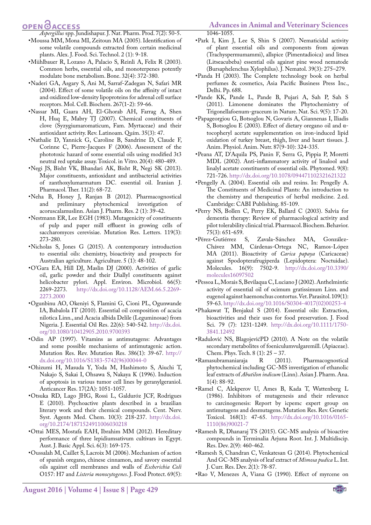OPEN **OACCESS** 

- *Aspergillus* spp. Jundishapur. J. Nat. Pharm. Prod. 7(2): 50-5. •Moussa MM, Mona MI, Zeitoun MA (2005). Identification of some volatile compounds extracted from certain medicinal plants. Alex. J. Food. Sci. Technol. 2 (1): 9-18.
- •Mühlbauer R, Lozano A, Palacio S, Reinli A, Felix R (2003). Common herbs, essential oils, and monoterpenes potently modulate bone metabolism. Bone. 32(4): 372-380.
- <span id="page-9-3"></span>•Naderi GA, Asgary S, Ani M, Sarraf-Zadegan N, Safari MR (2004). Effect of some volatile oils on the affinity of intact and oxidized low-density lipoproteins for adrenal cell surface receptors. Mol. Cell. Biochem. 267(1-2): 59-66.
- •Nassar MI, Gaara AH, El-Ghorab AH, Farrag A, Shen H, Huq E, Mabry TJ (2007). Chemical constituents of clove (Syzygiumaromaticum, Fam. Myrtaceae) and their antioxidant activity. Rev. Latinoam. Quím. 35(3): 47.
- •Nathalie D, Yannick G, Caroline B, Sandrine D, Claude F, Corinne C, Pierre-Jacques F (2006). Assessment of the phototoxic hazard of some essential oils using modified 3t3 neutral red uptake assay. Toxicol. in Vitro. 20(4): 480-489.
- •Negi JS, Bisht VK, Bhandari AK, Bisht R, Negi SK (2013). Major constituents, antioxidant and antibacterial activities of zanthoxylumarmatum DC. essential oil. Iranian J. Pharmacol. Ther. 11(2): 68-72.
- •Neha B, Honey J, Ranjan B (2012). Pharmacognostical and preliminary phytochemical investigation of acoruscalamuslinn. Asian J. Pharm. Res. 2 (1): 39-42.
- •Nestmann ER, Lee EGH (1983). Mutagenicity of constituents of pulp and paper mill effluent in growing cells of saccharomyces cerevisiae. Mutation Res. Letters. 119(3): 273-280.
- •Nicholas S, Jones G (2015). A contemporary introduction to essential oils: chemistry, bioactivity and prospects for Australian agriculture. Agriculture. 5 (1): 48-102.
- <span id="page-9-1"></span>•O'Gara EA, Hill DJ, Maslin DJ (2000). Activities of garlic oil, garlic powder and their Diallyl constituents against helicobacter pylori. Appl. Environ. Microbiol. 66(5): 2269-2273. [http://dx.doi.org/10.1128/AEM.66.5.2269-](http://dx.doi.org/10.1128/AEM.66.5.2269-2273.2000) [2273.2000](http://dx.doi.org/10.1128/AEM.66.5.2269-2273.2000)
- •Ogunbinu AO, Okeniyi S, Flamini G, Cioni PL, Ogunwande IA, Babalola IT (2010). Essential oil composition of acacia nilotica Linn., and Acacia albida Delile (Leguminosae) from Nigeria. J. Essential Oil Res. 22(6): 540-542. [http://dx.doi.](http://dx.doi.org/10.1080/10412905.2010.9700393) [org/10.1080/10412905.2010.9700393](http://dx.doi.org/10.1080/10412905.2010.9700393)
- •Odin AP (1997). Vitamins as antimutagens: Advantages and some possible mechanisms of antimutagenic action. Mutation Res. Rev. Mutation Res. 386(1): 39-67. [http://](http://dx.doi.org/10.1016/S1383-5742(96)00044-0) [dx.doi.org/10.1016/S1383-5742\(96\)00044-0](http://dx.doi.org/10.1016/S1383-5742(96)00044-0)
- •Ohizumi H, Masuda Y, Yoda M, Hashimoto S, Aiuchi T, Nakajo S, Sakai I, Ohsawa S, Nakaya K (1996). Induction of apoptosis in various tumor cell lines by geranylgeraniol. Anticancer Res. 17(2A): 1051-1057.
- •Otsuka RD, Lago JHG, Rossi L, Galduróz JCF, Rodrigues E (2010). Psychoactive plants described in a brazilian literary work and their chemical compounds. Cent. Nerv. Syst. Agents Med. Chem. 10(3): 218-237. [http://dx.doi.](http://dx.doi.org/10.2174/1871524911006030218) [org/10.2174/1871524911006030218](http://dx.doi.org/10.2174/1871524911006030218)
- •Ottai MES, Mostafa EAH, Ibrahim MM (2012). Hereditary performance of three lepidiumsativum cultivars in Egypt. Aust. J. Basic Appl. Sci. 6(3): 169-175.
- •Oussalah M, Caillet S, Lacroix M (2006). Mechanism of action of spanish oregano, chinese cinnamon, and savory essential oils against cell membranes and walls of *Escherichia Coli* O157: H7 and *Listeria monocytogenes*. J. Food Protect. 69(5):

•Park I, Kim J, Lee S, Shin S (2007). Nematicidal activity of plant essential oils and components from ajowan (Trachyspermumammi), allspice (Pimentadioica) and litsea (Litseacubeba) essential oils against pine wood nematode (Bursaphelenchus Xylophilus). J. Nematol. 39(3): 275–279.

<span id="page-9-0"></span>1046-1055.

- •Panda H (2003). The Complete technology book on herbal perfumes & cosmetics, Asia Pacific Business Press Inc., Delhi. Pp. 688.
- •Pande KK, Pande L, Pande B, Pujari A, Sah P, Sah S (2011). Limonene dominates the Phytochemistry of Trigonellafoenum-graceum in Nature. Nat. Sci. 9(5): 17-20.
- •Papageorgiou G, Botsoglou N, Govaris A, Giannenas I, Iliadis S, Botsoglou E (2003). Effect of dietary oregano oil and α‐ tocopheryl acetate supplementation on iron‐induced lipid oxidation of turkey breast, thigh, liver and heart tissues. J. Anim. Physiol. Anim. Nutr. 87(9‐10): 324-335.
- •Peana AT, D'Aquila PS, Panin F, Serra G, Pippia P, Moretti MDL (2002). Anti-inflammatory activity of linalool and linalyl acetate constituents of essential oils. Phytomed. 9(8): 721-726.<http://dx.doi.org/10.1078/094471102321621322>
- •Pengelly A. (2004). Essential oils and resins. In: Pengelly A. The Constituents of Medicinal Plants: An introduction to the chemistry and therapeutics of herbal medicine. 2.ed. Cambridge: CABI Publishing. 85-109.
- •Perry NS, Bollen C, Perry EK, Ballard C (2003). Salvia for dementia therapy: Review of pharmacological activity and pilot tolerability clinical trial. Pharmacol. Biochem. Behavior.
- 75(3): 651-659.<br>• Pérez-Gutiérrez S, Zavala-Sánchez MA, González-Chávez MM, Cárdenas-Ortega NC, Ramos-López MA (2011). Bioactivity of *Carica papaya* (Caricaceae) against Spodopterafrugiperda (Lepidoptera: Noctuidae). Molecules. 16(9): 7502-9. [http://dx.doi.org/10.3390/](http://dx.doi.org/10.3390/molecules16097502) [molecules16097502](http://dx.doi.org/10.3390/molecules16097502)
- •Pessoa L, Morais S, Bevilaqua C, Luciano J (2002). Anthelmintic activity of essential oil of ocimum gratissimum Linn. and eugenol against haemonchus contortus. Vet. Parasitol. 109(1): 59-63. [http://dx.doi.org/10.1016/S0304-4017\(02\)00253-4](http://dx.doi.org/10.1016/S0304-4017(02)00253-4)
- •Phakawat T, Benjakul S (2014). Essential oils: Extraction, bioactivities and their uses for food preservation. J. Food Sci. 79 (7): 1231-1249. [http://dx.doi.org/10.1111/1750-](http://dx.doi.org/10.1111/1750-3841.12492) [3841.12492](http://dx.doi.org/10.1111/1750-3841.12492)
- <span id="page-9-2"></span>•Radulović NS, BlagojevićPD (2010). A Note on the volatile secondary metabolites of foeniculumvulgaremill. (Apiaceae). Chem. Phys. Tech. 8 (1):  $25 - 37$ .<br>masubramaniaraja R (2011).
- •Ramasubramaniaraja R (2011). Pharmacognostical phytochemical including GC-MS investigation of ethanolic leaf extracts of *Abutilon indicum* (Linn). Asian J. Pharm. Ana. 1(4): 88-92.
- •Ramel C, Alekperov U, Ames B, Kada T, Wattenberg L (1986). Inhibitors of mutagenesis and their relevance to carcinogenesis: Report by icpemc expert group on antimutagens and desmutagens. Mutation Res. Rev. Genetic Toxicol. 168(1): 47-65. [http://dx.doi.org/10.1016/0165-](http://dx.doi.org/10.1016/0165-1110(86)90021-7) [1110\(86\)90021-7](http://dx.doi.org/10.1016/0165-1110(86)90021-7)
- •Ramesh R, Dhanaraj TS (2015). GC-MS analysis of bioactive compounds in Terminalia Arjuna Root. Int. J. Multidiscip. Res. Dev. 2(9): 460-462.
- •Ramesh S, Chandran C, Venkatesan G (2014). Phytochemical And GC-MS analysis of leaf extract of *Mimosa pudica* L. Int. J. Curr. Res. Dev. 2(1): 78-87.
- •Rao V, Menezes A, Viana G (1990). Effect of myrcene on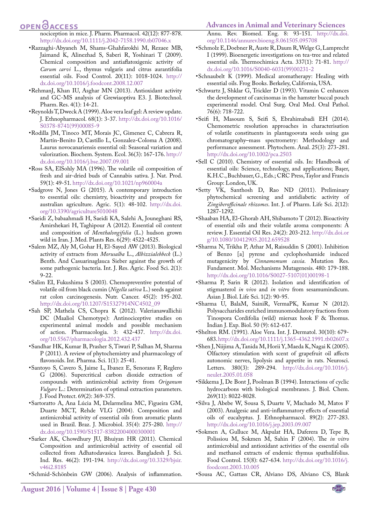### **OPEN**<sub>d</sub>

- nociception in mice. J. Pharm. Pharmacol. 42(12): 877-878. <http://dx.doi.org/10.1111/j.2042-7158.1990.tb07046.x>
- •Razzaghi-Abyaneh M, Shams-Ghahfarokhi M, Rezaee MB, Jaimand K, Alinezhad S, Saberi R, Yoshinari T (2009). Chemical composition and antiaflatoxigenic activity of *Carum carvi* L., thymus vulgaris and citrus aurantifolia essential oils. Food Control. 20(11): 1018-1024. [http://](http://dx.doi.org/10.1016/j.foodcont.2008.12.007) [dx.doi.org/10.1016/j.foodcont.2008.12.007](http://dx.doi.org/10.1016/j.foodcont.2008.12.007)
- •RehmanJ, Khan IU, Asghar MN (2013). Antioxidant activity and GC-MS analysis of Grewiaoptiva E3. J. Biotechnol. Pharm. Res. 4(1): 14-21.
- •Reynolds T, Dweck A (1999). Aloe vera leaf gel: A review update. J. Ethnopharmacol. 68(1): 3-37. [http://dx.doi.org/10.1016/](http://dx.doi.org/10.1016/S0378-8741(99)00085-9) [S0378-8741\(99\)00085-9](http://dx.doi.org/10.1016/S0378-8741(99)00085-9)
- •Rodilla JM, Tinoco MT, Morais JC, Gimenez C, Cabrera R, Martín-Benito D, Castillo L, Gonzalez-Coloma A (2008). Laurus novocanariensis essential oil: Seasonal variation and valorization. Biochem. System. Ecol. 36(3): 167-176. [http://](http://dx.doi.org/10.1016/j.bse.2007.09.001) [dx.doi.org/10.1016/j.bse.2007.09.001](http://dx.doi.org/10.1016/j.bse.2007.09.001)
- •Ross SA, ElSohly MA (1996). The volatile oil composition of fresh and air-dried buds of Cannabis sativa. J. Nat. Prod. 59(1): 49-51.<http://dx.doi.org/10.1021/np960004a>
- <span id="page-10-0"></span>•Sadgrove N, Jones G (2015). A contemporary introduction to essential oils: chemistry, bioactivity and prospects for australian agriculture. Agric. 5(1): 48-102. [http://dx.doi.](http://dx.doi.org/10.3390/agriculture5010048) [org/10.3390/agriculture5010048](http://dx.doi.org/10.3390/agriculture5010048)
- •Saeidi Z, babaahmadi H, Saeidi KA, Salehi A, Jouneghani RS, Amirshekari H, Taghipour A (2012). Essential oil content and composition of *Menthalongifolia* (L.) hudson grown wild in Iran. J. Med. Plants Res. 6(29): 4522-4525.
- •Salem MZ, Aly M, Gohar H, El-Sayed AW (2013). Biological activity of extracts from *Morusalba* L., *Albizzialebbeck* (L.) Benth. And Casuarinaglauca Sieber against the growth of some pathogenic bacteria. Int. J. Res. Agric. Food Sci. 2(1): 9-22.
- •Salim EI, Fukushima S (2003). Chemopreventive potential of volatile oil from black cumin (*Nigella sativa* L.) seeds against rat colon carcinogenesis. Nutr. Cancer. 45(2): 195-202. [http://dx.doi.org/10.1207/S15327914NC4502\\_09](http://dx.doi.org/10.1207/S15327914NC4502_09)
- •Sah SP, Mathela CS, Chopra K (2012). Valerianawallichii DC (Maaliol Chemotype): Antinociceptive studies on experimental animal models and possible mechanism of action. Pharmacologia. 3: 432-437. [http://dx.doi.](http://dx.doi.org/10.5567/pharmacologia.2012.432.437) [org/10.5567/pharmacologia.2012.432.437](http://dx.doi.org/10.5567/pharmacologia.2012.432.437)
- •Sandhar HK, Kumar B, Prasher S, Tiwari P, Salhan M, Sharma P (2011). A review of phytochemistry and pharmacology of flavonoids. Int. Pharma. Sci. 1(1): 25-41.
- •Santoyo S, Cavero S, Jaime L, Ibanez E, Senorans F, Reglero G (2006). Supercritical carbon dioxide extraction of compounds with antimicrobial activity from *Origanum Vulgare* L.: Determination of optimal extraction parameters. J. Food Protect. 69(2): 369-375.
- •Sartoratto A, Ana Lúcia M, Delarmelina MC, Figueira GM, Duarte MCT, Rehde VLG (2004). Composition and antimicrobial activity of essential oils from aromatic plants used in Brazil. Braz. J. Microbiol. 35(4): 275-280. [http://](http://dx.doi.org/10.1590/S1517-83822004000300001) [dx.doi.org/10.1590/S1517-83822004000300001](http://dx.doi.org/10.1590/S1517-83822004000300001)
- •Sarker AK, Chowdhury JU, Bhuiyan HR (2011). Chemical Composition and antimicrobial activity of essential oil collected from Adhatodavasica leaves. Bangladesh J. Sci. Ind. Res. 46(2): 191-194. [http://dx.doi.org/10.3329/bjsir.](http://dx.doi.org/10.3329/bjsir.v46i2.8185) [v46i2.8185](http://dx.doi.org/10.3329/bjsir.v46i2.8185)
- •Schmid-Schönbein GW (2006). Analysis of inflammation.

#### **Advances in Animal and Veterinary Sciences**

Annu. Rev. Biomed. Eng. 8: 93-151. [http://dx.doi.](http://dx.doi.org/10.1146/annurev.bioeng.8.061505.095708) [org/10.1146/annurev.bioeng.8.061505.095708](http://dx.doi.org/10.1146/annurev.bioeng.8.061505.095708)

- •Schmolz E, Doebner R, Auste R, Daum R, Welge G, Lamprecht I (1999). Bioenergetic investigations on tea-tree and related essential oils. Thermochimica Acta. 337(1): 71-81. [http://](http://dx.doi.org/10.1016/S0040-6031(99)00231-2) [dx.doi.org/10.1016/S0040-6031\(99\)00231-2](http://dx.doi.org/10.1016/S0040-6031(99)00231-2)
- •Schnaubelt K (1999). Medical aromatherapy: Healing with essential oils. Frog Books. Berkeley, California, USA.
- •Schwartz J, Shklar G, Trickler D (1993). Vitamin C enhances the development of carcinomas in the hamster buccal pouch experimental model. Oral Surg. Oral Med. Oral Pathol. 76(6): 718-722.
- •Seifi H, Masoum S, Seifi S, Ebrahimabadi EH (2014). Chemometric resolution approaches in characterisation of volatile constituents in plantagoovata seeds using gas chromatography–mass spectrometry: Methodology and performance assessment. Phytochem. Anal. 25(3): 273-281. <http://dx.doi.org/10.1002/pca.2503>
- •Sell C (2010). Chemistry of essential oils. In: Handbook of essential oils: Science, technology, and applications; Başer, K.H.C., Buchbauer, G., Eds.; CRC Press, Taylor and Francis Group: London, UK.
- •Setty VK, Santhosh D, Rao ND (2011). Preliminary phytochemical screening and antidiabetic activity of *Zingiberofficinale rhizomes*. Int. J. of Pharm. Life Sci. 2(12): 1287-1292.
- •Shaaban HA, El-Ghorab AH, Shibamoto T (2012). Bioactivity of essential oils and their volatile aroma components: A review. J. Essential Oil Res. 24(2): 203-212. [http://dx.doi.or](http://dx.doi.org/10.1080/10412905.2012.659528) [g/10.1080/10412905.2012.659528](http://dx.doi.org/10.1080/10412905.2012.659528)
- •Sharma N, Trikha P, Athar M, Raisuddin S (2001). Inhibition of Benzo [a] pyrene and cyclophoshamide induced mutagenicity by *Cinnamomum cassia*. Mutation Res. Fundament. Mol. Mechanisms Mutagenesis. 480: 179-188. [http://dx.doi.org/10.1016/S0027-5107\(01\)00198-1](http://dx.doi.org/10.1016/S0027-5107(01)00198-1)
- •Sharma P, Sarin R (2012). Isolation and identification of stigmasterol *in vivo* and *in vitro* from sesamumindicum. Asian J. Biol. Life Sci. 1(2): 90-95.
- •Sharma U, BalaM, SainiR, VermaPK, Kumar N (2012). Polysaccharides enriched immunomodulatory fractions from Tinospora Cordifolia (wild) miersax hook F & Thomus. Indian J. Exp. Biol. 50 (9): 612-617.
- •Shelton RM. (1991). Aloe Vera. Int. J. Dermatol. 30(10): 679- 683.<http://dx.doi.org/10.1111/j.1365-4362.1991.tb02607.x>
- •Shen J, Niijima A, Tanida M, Horii Y, Maeda K, Nagai K (2005). Olfactory stimulation with scent of grapefruit oil affects autonomic nerves, lipolysis and appetite in rats. Neurosci. Letters. 380(3): 289-294. [http://dx.doi.org/10.1016/j.](http://dx.doi.org/10.1016/j.neulet.2005.01.058) [neulet.2005.01.058](http://dx.doi.org/10.1016/j.neulet.2005.01.058)
- •Sikkema J, De Bont J, Poolman B (1994). Interactions of cyclic hydrocarbons with biological membranes. J. Biol. Chem. 269(11): 8022-8028.
- •Silva J, Abebe W, Sousa S, Duarte V, Machado M, Matos F (2003). Analgesic and anti-inflammatory effects of essential oils of eucalyptus. J. Ethnopharmacol. 89(2): 277-283. <http://dx.doi.org/10.1016/j.jep.2003.09.007>
- •Sokmen A, Gulluce M, Akpulat HA, Daferera D, Tepe B, Polissiou M, Sokmen M, Sahin F (2004). The *in vitro* antimicrobial and antioxidant activities of the essential oils and methanol extracts of endemic thymus spathulifolius. Food Control. 15(8): 627-634. [http://dx.doi.org/10.1016/j.](http://dx.doi.org/10.1016/j.foodcont.2003.10.005) [foodcont.2003.10.005](http://dx.doi.org/10.1016/j.foodcont.2003.10.005)
- •Sousa AC, Gattass CR, Alviano DS, Alviano CS, Blank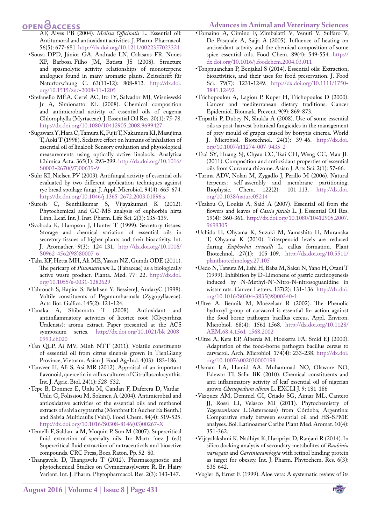### **OPEN**<sub>d</sub>

- AF, Alves PB (2004). *Melissa Officinalis* L. Essential oil: Antitumoral and antioxidant activities. J. Pharm. Pharmacol. 56(5): 677-681.<http://dx.doi.org/10.1211/0022357023321>
- •Sousa DPD, Júnior GA, Andrade LN, Calasans FR, Nunes XP, Barbosa-Filho JM, Batista JS (2008). Structure and spasmolytic activity relationships of monoterpene analogues found in many aromatic plants. Zeitschrift für Naturforschung C. 63(11-12): 808-812. [http://dx.doi.](http://dx.doi.org/10.1515/znc-2008-11-1205) [org/10.1515/znc-2008-11-1205](http://dx.doi.org/10.1515/znc-2008-11-1205)
- •Stefanello MÉA, Cervi AC, Ito IY, Salvador MJ, Wisniewski Jr A, Simionatto EL (2008). Chemical composition and antimicrobial activity of essential oils of eugenia Chlorophylla (Myrtaceae). J. Essential Oil Res. 20(1): 75-78. <http://dx.doi.org/10.1080/10412905.2008.9699427>
- •Sugawara Y, Hara C, Tamura K, Fujii T, Nakamura KI, Masujima T, Aoki T (1998). Sedative effect on humans of inhalation of essential oil of linalool: Sensory evaluation and physiological measurements using optically active linalools. Analytica Chimica Acta. 365(1): 293-299. [http://dx.doi.org/10.1016/](http://dx.doi.org/10.1016/S0003-2670(97)00639-9) [S0003-2670\(97\)00639-9](http://dx.doi.org/10.1016/S0003-2670(97)00639-9)
- •Suhr KI, Nielsen PV (2003). Antifungal activity of essential oils evaluated by two different application techniques against rye bread spoilage fungi. J. Appl. Microbiol. 94(4): 665-674. <http://dx.doi.org/10.1046/j.1365-2672.2003.01896.x>
- •Suresh C, Senthilkumar S, Vijayakumari K (2012). Phytochemical and GC-MS analysis of euphorbia hirta Linn. Leaf. Int. J. Inst. Pharm. Life Sci. 2(3): 135-139.
- •Svoboda K, Hampson J, Hunter T (1999). Secretory tissues: Storage and chemical variation of essential oils in secretory tissues of higher plants and their bioactivity. Int. J. Aromather. 9(3): 124-131. [http://dx.doi.org/10.1016/](http://dx.doi.org/10.1016/S0962-4562(98)80007-6) [S0962-4562\(98\)80007-6](http://dx.doi.org/10.1016/S0962-4562(98)80007-6)
- <span id="page-11-0"></span>•Taha KF, Hetta MH, Ali ME, Yassin NZ, Guindi ODE (2011). The pericarp of *Pisumsativum* L. (Fabaceae) as a biologically active waste product. Planta. Med. 77: 22. [http://dx.doi.](http://dx.doi.org/10.1055/s-0031-1282629) [org/10.1055/s-0031-1282629](http://dx.doi.org/10.1055/s-0031-1282629)
- •Tahrouch S, Rapior S, Belahsen Y, BessiereJ, AndaryC (1998). Voltile constituents of Peganumharmala (Zygopyllaceae). Acta Bot. Gallica. 145(2): 121-124.
- •Tanaka A, Shibamoto T (2008). Antioxidant and antiinflammatory activities of licorice root (Glycyrrhiza Uralensis): aroma extract. Paper presented at the ACS symposium series. [http://dx.doi.org/10.1021/bk-2008-](http://dx.doi.org/10.1021/bk-2008-0993.ch020) [0993.ch020](http://dx.doi.org/10.1021/bk-2008-0993.ch020)
- •Tan QLP, Ai MV, Minh NTT (2011). Volatile constituents of essential oil from citrus sinensis grown in TienGiang Province, Vietnam. Asian J. Food Ag-Ind. 4(03): 183-186.
- •Tanveer H, Ali S, Asi MR (2012). Appraisal of an important flavonoid, quercetin in callus cultures of Citrulluscolocynthis. Int. J. Agric. Biol. 24(1): 528–532.
- •Tepe B, Donmez E, Unlu M, Candan F, Daferera D, Vardar-Unlu G, Polissiou M, Sokmen A (2004). Antimicrobial and antioxidative activities of the essential oils and methanol extracts of salvia cryptantha (Montbret Et Aucher Ex Benth.) and Salvia Multicaulis (Vahl). Food Chem. 84(4): 519-525. [http://dx.doi.org/10.1016/S0308-8146\(03\)00267-X](http://dx.doi.org/10.1016/S0308-8146(03)00267-X)
- •Temelli F, Saldan ˜a M, Moquin P, Sun M (2007). Supercritical fluid extraction of specialty oils. In: Martı ´nez J (ed) Supercritical fluid extraction of nutraceuticals and bioactive compounds. CRC Press, Boca Raton. Pp. 52–80.
- •Thangavelu D, Thangavelu T (2012). Pharmacognostic and phytochemical Studies on Gymnemasylvestre R. Br. Hairy Variant. Int. J. Pharm. Phytopharmacol. Res. 2(3): 143-147.
- •Tomaino A, Cimino F, Zimbalatti V, Venuti V, Sulfaro V, De Pasquale A, Saija A (2005). Influence of heating on antioxidant activity and the chemical composition of some spice essential oils. Food Chem. 89(4): 549-554. [http://](http://dx.doi.org/10.1016/j.foodchem.2004.03.011) [dx.doi.org/10.1016/j.foodchem.2004.03.011](http://dx.doi.org/10.1016/j.foodchem.2004.03.011)
- •Tongnuanchan P, Benjakul S (2014). Essential oils: Extraction, bioactivities, and their uses for food preservation. J. Food Sci. 79(7): 1231-1249. [http://dx.doi.org/10.1111/1750-](http://dx.doi.org/10.1111/1750-3841.12492) [3841.12492](http://dx.doi.org/10.1111/1750-3841.12492)
- •Trichopoulou A, Lagiou P, Kuper H, Trichopoulos D (2000). Cancer and mediterranean dietary traditions. Cancer Epidemiol. Biomark. Prevent. 9(9): 869-873.
- •Tripathi P, Dubey N, Shukla A (2008). Use of some essential oils as post-harvest botanical fungicides in the management of grey mould of grapes caused by botrytis cinerea. World J. Microbiol. Biotechnol. 24(1): 39-46. [http://dx.doi.](http://dx.doi.org/10.1007/s11274-007-9435-2) [org/10.1007/s11274-007-9435-2](http://dx.doi.org/10.1007/s11274-007-9435-2)
- •Tsai SY, Huang SJ, Chyau CC, Tsai CH, Weng CC, Mau JL (2011). Composition and antioxidant properties of essential oils from Curcuma rhizome. Asian J. Arts Sci. 2(1): 57-66.
- •Turina ADV, Nolan M, Zygadlo J, Perillo M (2006). Natural terpenes: self-assembly and membrane partitioning. Biophysic. Chem. 122(2): 101-113. [http://dx.doi.](http://dx.doi.org/10.1038/nature05214) [org/10.1038/nature05214](http://dx.doi.org/10.1038/nature05214)
- •Tzakou O, Loukis A, Said A (2007). Essential oil from the flowers and leaves of *Cassia fistula* L. J. Essential Oil Res. 19(4): 360-361. [http://dx.doi.org/10.1080/10412905.2007.](http://dx.doi.org/10.1080/10412905.2007.9699305) [9699305](http://dx.doi.org/10.1080/10412905.2007.9699305)
- <span id="page-11-2"></span>•Uchida H, Ohyama K, Suzuki M, Yamashita H, Muranaka T, Ohyama K (2010). Triterpenoid levels are reduced during *Euphorbia tirucalli* L. callus formation. Plant Biotechnol. 27(1): 105-109. [http://dx.doi.org/10.5511/](http://dx.doi.org/10.5511/plantbiotechnology.27.105) [plantbiotechnology.27.105](http://dx.doi.org/10.5511/plantbiotechnology.27.105)
- •Uedo N, Tatsuta M, Iishi H, Baba M, Sakai N, Yano H, Otani T (1999). Inhibition by D-Limonene of gastric carcinogenesis induced by N-Methyl-N′-Nitro-N-nitrosoguanidine in wistar rats. Cancer Letters. 137(2): 131-136. [http://dx.doi.](http://dx.doi.org/10.1016/S0304-3835(98)00340-1) [org/10.1016/S0304-3835\(98\)00340-1](http://dx.doi.org/10.1016/S0304-3835(98)00340-1)
- •Ultee A, Bennik M, Moezelaar R (2002). The Phenolic hydroxyl group of carvacrol is essential for action against the food-borne pathogen bacillus cereus. Appl. Environ. Microbiol. 68(4): 1561-1568. [http://dx.doi.org/10.1128/](http://dx.doi.org/10.1128/AEM.68.4.1561-1568.2002) [AEM.68.4.1561-1568.2002](http://dx.doi.org/10.1128/AEM.68.4.1561-1568.2002)
- •Ultee A, Kets EP, Alberda M, Hoekstra FA, Smid EJ (2000). Adaptation of the food-borne pathogen bacillus cereus to carvacrol. Arch. Microbiol. 174(4): 233-238. [http://dx.doi.](http://dx.doi.org/10.1007/s002030000199) [org/10.1007/s002030000199](http://dx.doi.org/10.1007/s002030000199)
- •Usman LA, Hamid AA, Muhammad NO, Olawore NO, Edewor TI, Saliu BK (2010). Chemical constituents and anti-inflammatory activity of leaf essential oil of nigerian grown *Chenopodium album* L. EXCLI J. 9: 181-186
- <span id="page-11-1"></span>•Vázquez AM, Demmel GI, Criado SG, Aimar ML, Cantero JJ, Rossi LI, Velasco MI (2011). Phytochemistry of *Tagetesminuta* L.(Asteraceae) from Córdoba, Argentina: Comparative study between essential oil and HS-SPME analyses. Bol. Latinoamer Caribe Plant Med. Aromat. 10(4): 351-362.
- •Vijayalakshmi K, Nadhiya K, Haripriya D, Ranjani R (2014). In silico docking analysis of secondary metabolites of *Bauhinia variegata* and *Garciniacambogia* with retinol binding protein as target for obesity. Int. J. Pharm. Phytochem. Res. 6(3): 636-642.
- •Vogler B, Ernst E (1999). Aloe vera: A systematic review of its

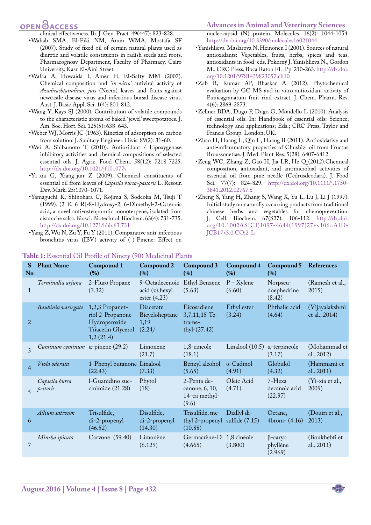## **OPEN OACCESS**

clinical effectiveness. Br. J. Gen. Pract. 49(447): 823-828.

- <span id="page-12-0"></span>•Wahab SMA, El-Fiki NM, Amin WMA, Mostafa SF (2007). Study of fixed oil of certain natural plants used as diuretic and volatile constituents in radish seeds and roots. Pharmacognosy Department, Faculty of Pharmacy, Cairo University, Kasr El-Aini Street.
- •Wafaa A, Howaida I, Amer H, El-Safty MM (2007). Chemical composition and *'in vitro'* antiviral activity of *Azadirachtaindicaa. juss* (Neem) leaves and fruits against newcastle disease virus and infectious bursal disease virus. Aust. J. Basic Appl. Sci. 1(4): 801-812.
- •Wang Y, Kays SJ (2000). Contribution of volatile compounds to the characteristic aroma of baked 'jewel' sweetpotatoes. J. Am. Soc. Hort. Sci. 125(5): 638–643.
- •Weber WJ, Morris JC (1963). Kinetics of adsorption on carbon from solution. J. Sanitary Engineer. Divis. 89(2): 31-60.
- •Wei A, Shibamoto T (2010). Antioxidant / Lipoxygenase inhibitory activities and chemical compositions of selected essential oils. J. Agric. Food Chem. 58(12): 7218-7225. <http://dx.doi.org/10.1021/jf101077s>
- <span id="page-12-1"></span>•Yi-xia G, Xiang-jun Z (2009). Chemical constituents of essential oil from leaves of *Capsella bursa-pastoris* L. Resour. Dev. Mark. 25:1070–1071.
- •Yamaguchi K, Shinohara C, Kojima S, Sodeoka M, Tsuji T (1999). (2 E, 6 R)-8-Hydroxy-2, 6-Dimethyl-2-Octenoic acid, a novel anti-osteoporotic monoterpene, isolated from cistanche salsa. Biosci. Biotechnol. Biochem. 63(4): 731-735. <http://dx.doi.org/10.1271/bbb.63.731>
- •Yang Z, Wu N, Zu Y, Fu Y (2011). Comparative anti-infectious bronchitis virus (IBV) activity of (-)-Pinene: Effect on

### **Advances in Animal and Veterinary Sciences**

nucleocapsid (N) protein. Molecules. 16(2): 1044-1054. <http://dx.doi.org/10.3390/molecules16021044>

- •Yanishlieva-Maslarova N, Heinonen I (2001). Sources of natural antioxidants: Vegetables, fruits, herbs, spices and teas. antioxidants in food–eds. Pokorný J. Yanishlieva N., Gordon M., CRC Press, Boca Raton FL. Pp. 210-263. [http://dx.doi.](http://dx.doi.org/10.1201/9781439823057.ch10) [org/10.1201/9781439823057.ch10](http://dx.doi.org/10.1201/9781439823057.ch10)
- <span id="page-12-2"></span>•Zab R, Kumar AP, Bhaskar A (2012). Phytochemical evaluation by GC-MS and in vitro antioxidant activity of Punicagranatum fruit rind extract. J. Chem. Pharm. Res. 4(6): 2869-2873.
- •Zellner BDA, Dugo P, Dugo G, Mondello L (2010). Analysis of essential oils. In: Handbook of essential oils: Science, technology and applications; Eds.; CRC Press, Taylor and Francis Group: London, UK.
- •Zhao H, Huang L, Qin L, Huang B (2011). Antioxidative and anti-inflammatory properties of Chushizi oil from Fructus Broussonetiae. J. Med. Plant Res. 5(28): 6407-6412.
- •Zeng WC, Zhang Z, Gao H, Jia LR, He Q (2012).Chemical composition, antioxidant, and antimicrobial activities of essential oil from pine needle (Cedrusdeodara). J. Food Sci. 77(7): 824-829. [http://dx.doi.org/10.1111/j.1750-](http://dx.doi.org/10.1111/j.1750-3841.2012.02767.x) [3841.2012.02767.x](http://dx.doi.org/10.1111/j.1750-3841.2012.02767.x)
- •Zheng S, Yang H, Zhang S, Wang X, Yu L, Lu J, Li J (1997). Initial study on naturally occurring products from traditional chinese herbs and vegetables for chemoprevention. J. Cell. Biochem. 67(S27): 106-112. [http://dx.doi.](http://dx.doi.org/10.1002/(SICI)1097-4644(1997)27+%3C106::AID-JCB17%3E3.0.CO;2-L) [org/10.1002/\(SICI\)1097-4644\(1997\)27+<106::AID-](http://dx.doi.org/10.1002/(SICI)1097-4644(1997)27+%3C106::AID-JCB17%3E3.0.CO;2-L)[JCB17>3.0.CO;2-L](http://dx.doi.org/10.1002/(SICI)1097-4644(1997)27+%3C106::AID-JCB17%3E3.0.CO;2-L)

| S<br>No         | <b>Plant Name</b>                              | Compound 1<br>(%)                                                                       | Compound 2<br>(%)                                   | Compound 3<br>(%)                                              | Compound 4<br>(%)                    | Compound 5<br>(%)                     | References                      |
|-----------------|------------------------------------------------|-----------------------------------------------------------------------------------------|-----------------------------------------------------|----------------------------------------------------------------|--------------------------------------|---------------------------------------|---------------------------------|
| $\mathbf{1}$    | Terminalia arjuna                              | 2-Fluro Propane<br>(3.32)                                                               | 9-Octadecenoic<br>acid (z), hexyl<br>ester $(4.23)$ | Ethyl Benzene<br>(5.63)                                        | $P - X$ ylene<br>(6.60)              | Norpseu-<br>doephedrine<br>(8.42)     | (Ramesh et al.,<br>2015)        |
| $\overline{2}$  | Bauhinia variegate                             | 1,2,3 Propanet-<br>riol 2-Propanone<br>Hydroperoxide<br>Triacetin Glycerol<br>1,2(21.4) | Diacetate<br>Bicycloheptane<br>1,19<br>(2.24)       | Eicosadiene<br>3,7,11,15-Te-<br>trame-<br>$thyl-(27.42)$       | Ethyl ester<br>(3.24)                | Phthalic acid<br>(4.64)               | (Vijayalakshmi<br>et al., 2014) |
| $\mathcal{R}$   | <i>Cuminum cyminum</i> $\alpha$ -pinene (29.2) |                                                                                         | Limonene<br>(21.7)                                  | 1,8-cineole<br>(18.1)                                          | Linalool (10.5) $\alpha$ -terpineole | (3.17)                                | (Mohammad et<br>al., $2012$ )   |
| $\overline{4}$  | Viola odorata                                  | 1-Phenyl butanone Linalool<br>(22.43)                                                   | (7.33)                                              | Benzyl alcohol<br>(5.65)                                       | $\alpha$ -Cadinol<br>(4.91)          | Globulol<br>(4.32)                    | (Hammami et<br>al., $2011$ )    |
| $5\overline{2}$ | Capsella bursa<br>pestoris                     | 1-Guanidino suc-<br>cinimide (21.28)                                                    | Phytol<br>(18)                                      | 2-Penta de-<br>canone, 6, 10,<br>14-tri methyl-<br>(9.6)       | Oleic Acid<br>(4.71)                 | 7-Hexa<br>decanoic acid<br>(22.97)    | (Yi-xia et al.,<br>2009)        |
| 6               | Allium sativum                                 | Trisulfide,<br>di-2-propenyl<br>(46.52)                                                 | Disulfide,<br>di-2-propenyl<br>(14.30)              | Trisulfide, me-<br>thyl 2-propenyl sulfide $(7.15)$<br>(10.88) | Diallyl di-                          | Octane,<br>$4brom - (4.16)$           | (Douiri et al.,<br>2013)        |
| $\overline{7}$  | Mintha spicata                                 | Carvone (59.40)                                                                         | Limonène<br>(6.129)                                 | Germacrène-D<br>(4.665)                                        | 1,8 cinéole<br>(3.800)               | $\beta$ -caryo<br>phyllène<br>(2.969) | (Boukhebti et<br>al., $2011$ )  |

#### <span id="page-12-3"></span>**Table 1:** Essential Oil Profile of Ninety (90) Medicinal Plants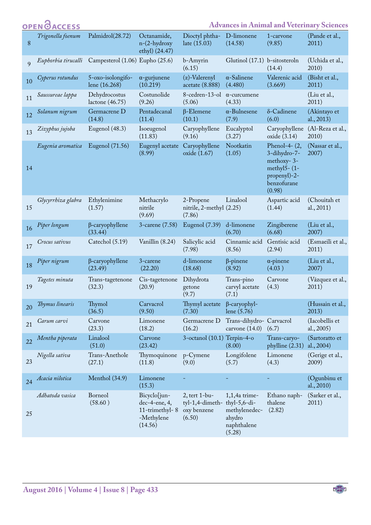|    | <b>OPEN OACCESS</b> |                                    |                                                                             |                                                              |                                                                                      |                                                                                                           | <b>Advances in Animal and Veterinary Sciences</b> |
|----|---------------------|------------------------------------|-----------------------------------------------------------------------------|--------------------------------------------------------------|--------------------------------------------------------------------------------------|-----------------------------------------------------------------------------------------------------------|---------------------------------------------------|
| 8  | Trigonella foenum   | Palmidrol(28.72)                   | Octanamide,<br>$n-(2-hydroxy)$<br>ethyl) (24.47)                            | Dioctyl phtha-<br>late (15.03)                               | D-limonene<br>(14.58)                                                                | 1-carvone<br>(9.85)                                                                                       | (Pande et al.,<br>2011)                           |
| 9  | Euphorbia tirucalli | Campesterol (1.06) Eupho (25.6)    |                                                                             | b-Amyrin<br>(6.15)                                           | Glutinol (17.1) b-sitosteroln                                                        | (14.4)                                                                                                    | (Uchida et al.,<br>2010)                          |
| 10 | Cyperus rotundus    | 5-oxo-isolongifo-<br>lene (16.268) | $\alpha$ -gurjunene<br>(10.219)                                             | (z)-Valerenyl<br>acetate (8.888)                             | $\alpha$ -Salinene<br>(4.480)                                                        | Valerenic acid<br>(3.669)                                                                                 | (Bisht et al.,<br>2011)                           |
| 11 | Saussureae lappa    | Dehydrocostus<br>lactone $(46.75)$ | Costunolide<br>(9.26)                                                       | 8-cedren-13-ol<br>(5.06)                                     | $\alpha$ -curcumene<br>(4.33)                                                        |                                                                                                           | (Liu et al.,<br>2011)                             |
| 12 | Solanum nigrum      | Germacrene D<br>(14.8)             | Pentadecanal<br>(11.4)                                                      | $\beta$ -Elemene<br>(10.1)                                   | $\alpha$ -Bulnesene<br>(7.9)                                                         | δ-Cadinene<br>(6.0)                                                                                       | (Akintayo et<br>al., 2013)                        |
| 13 | Zizyphus jujoba     | Eugenol (48.3)                     | Isoeugenol<br>(11.83)                                                       | Caryophyllene<br>(9.16)                                      | Eucalyptol<br>(3.27)                                                                 | Caryophyllene<br>oxide $(3.14)$                                                                           | (Al-Reza et al.,<br>2010)                         |
| 14 | Eugenia aromatica   | Eugenol (71.56)                    | Eugenyl acetate<br>(8.99)                                                   | Caryophyllene<br>oxide (1.67)                                | Nootkatin<br>(1.05)                                                                  | Phenol-4- $(2,$<br>3-dihydro-7-<br>methoxy-3-<br>methyl $5-$ (1-<br>propenyl)-2-<br>benzofurane<br>(0.98) | (Nassar et al.,<br>2007)                          |
| 15 | Glycyrrhiza glabra  | Ethylenimine<br>(1.57)             | Methacrylo<br>nitrile<br>(9.69)                                             | 2-Propene<br>nitrile, 2-methyl (2.25)<br>(7.86)              | Linalool                                                                             | Aspartic acid<br>(1.44)                                                                                   | (Chouitah et<br>al., 2011)                        |
| 16 | Piper longum        | $\beta$ -caryophyllene<br>(33.44)  | 3-carene (7.58)                                                             | Eugenol (7.39)                                               | d-limonene<br>(6.70)                                                                 | Zingiberene<br>(6.68)                                                                                     | (Liu et al.,<br>2007)                             |
| 17 | Crocus sativus      | Catechol (5.19)                    | Vanillin (8.24)                                                             | Salicylic acid<br>(7.98)                                     | Cinnamic acid<br>(8.56)                                                              | Gentisic acid<br>(2.94)                                                                                   | (Esmaeili et al.,<br>2011)                        |
| 18 | Piper nigrum        | $\beta$ -caryophyllene<br>(23.49)  | 3-carene<br>(22.20)                                                         | d-limonene<br>(18.68)                                        | $\beta$ -pinene<br>(8.92)                                                            | $\alpha$ -pinene<br>(4.03)                                                                                | (Liu et al.,<br>2007)                             |
| 19 | Tagetes minuta      | Trans-tagetenone<br>(32.3)         | Cis-tagetenone<br>(20.9)                                                    | Dihydrota<br>getone<br>(9.7)                                 | Trans-pino<br>carvyl acetate<br>(7.1)                                                | Carvone<br>(4.3)                                                                                          | (Vázquez et al.,<br>2011)                         |
| 20 | Thymus linearis     | Thymol<br>(36.5)                   | Carvacrol<br>(9.50)                                                         | Thymyl acetate<br>(7.30)                                     | $\beta$ -caryophyl-<br>lene $(5.76)$                                                 |                                                                                                           | (Hussain et al.,<br>2013)                         |
| 21 | Carum carvi         | Carvone<br>(23.3)                  | Limonene<br>(18.2)                                                          | Germacrene D<br>(16.2)                                       | Trans-dihydro- Carvacrol<br>carvone $(14.0)$                                         | (6.7)                                                                                                     | (Iacobellis et<br>al., 2005)                      |
| 22 | Mentha piperata     | Linalool<br>(51.0)                 | Carvone<br>(23.42)                                                          | 3-octanol (10.1) Terpin-4-o                                  | (8.00)                                                                               | Trans-caryo-<br>phylline (2.31)                                                                           | (Sartoratto et<br>al., 2004)                      |
| 23 | Nigella sativa      | Trans-Anethole<br>(27.1)           | Thymoquinone<br>(11.8)                                                      | p-Cymene<br>(9.0)                                            | Longifolene<br>(5.7)                                                                 | Limonene<br>(4.3)                                                                                         | (Gerige et al.,<br>2009)                          |
| 24 | Acacia nilotica     | Menthol (34.9)                     | Limonene<br>(15.3)                                                          |                                                              |                                                                                      |                                                                                                           | (Ogunbinu et<br>al., 2010)                        |
| 25 | Adhatoda vasica     | Borneol<br>(58.60)                 | Bicyclo[jun-<br>$dec-4$ -ene, 4,<br>11-trimethyl-8<br>-Methylene<br>(14.56) | $2$ , tert 1-bu-<br>tyl-1,4-dimeth-<br>oxy benzene<br>(6.50) | $1,1,4$ a trime-<br>thyl-5,6-di-<br>methylenedec-<br>ahydro<br>naphthalene<br>(5.28) | Ethano naph-<br>thalene<br>(2.82)                                                                         | (Sarker et al.,<br>2011)                          |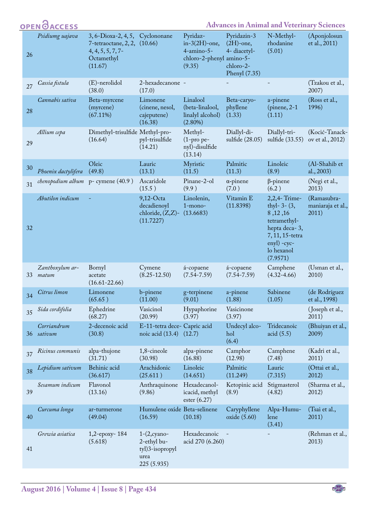|    | <b>OPEN ØACCESS</b>                       |                                                                                                      |                                                                         |                                                                                  | <b>Advances in Animal and Veterinary Sciences</b>                         |                                                                                                                                         |                                           |
|----|-------------------------------------------|------------------------------------------------------------------------------------------------------|-------------------------------------------------------------------------|----------------------------------------------------------------------------------|---------------------------------------------------------------------------|-----------------------------------------------------------------------------------------------------------------------------------------|-------------------------------------------|
| 26 | Psidiumg uajava                           | $3, 6$ -Dioxa-2, 4, 5,<br>$7$ -tetraoctane, $2, 2,$<br>$4, 4, 5, 5, 7, 7$ -<br>Octamethyl<br>(11.67) | Cyclononane<br>(10.66)                                                  | Pyridaz-<br>$in-3(2H)$ -one,<br>4-amino-5-<br>chloro-2-phenyl amino-5-<br>(9.35) | Pyridazin-3<br>$(2H)$ -one,<br>4- diacetyl-<br>chloro-2-<br>Phenyl (7.35) | N-Methyl-<br>rhodanine<br>(5.01)                                                                                                        | (Aponjolosun<br>et al., 2011)             |
| 27 | Cassia fistula                            | (E)-nerolidol<br>(38.0)                                                                              | 2-hexadecanone -<br>(17.0)                                              |                                                                                  |                                                                           |                                                                                                                                         | (Tzakou et al.,<br>2007)                  |
| 28 | Cannabis sativa                           | Beta-myrcene<br>(myrcene)<br>$(67.11\%)$                                                             | Limonene<br>(cinene, nesol,<br>cajeputene)<br>(16.38)                   | Linalool<br>(beta-linalool,<br>linalyl alcohol)<br>$(2.80\%)$                    | Beta-caryo-<br>phyllene<br>(1.33)                                         | a-pinene<br>(pinene, $2-1$<br>(1.11)                                                                                                    | (Ross et al.,<br>1996)                    |
| 29 | Allium cepa                               | Dimethyl-trisulfide Methyl-pro-<br>(16.64)                                                           | pyl-trisulfide<br>(14.21)                                               | Methyl-<br>$(1$ -pro pe-<br>nyl)-disulfide<br>(13.14)                            | Diallyl-di-<br>sulfide (28.05)                                            | Diallyl-tri-<br>sulfide (33.55)                                                                                                         | (Kocić-Tanack-<br>ov et al., 2012)        |
| 30 | Phoenix dactylifera                       | Oleic<br>(49.8)                                                                                      | Lauric<br>(13.1)                                                        | Myristic<br>(11.5)                                                               | Palmitic<br>(11.3)                                                        | Linoleic<br>(8.9)                                                                                                                       | (Al-Shahib et<br>al., 2003)               |
| 31 | <i>chenopodium album</i> p- cymene (40.9) |                                                                                                      | Ascaridole<br>(15.5)                                                    | Pinane-2-ol<br>(9.9)                                                             | $\alpha$ -pinene<br>(7.0)                                                 | $\beta$ -pinene<br>(6.2)                                                                                                                | (Negi et al.,<br>2013)                    |
| 32 | Abutilon indicum                          |                                                                                                      | 9,12-Octa<br>decadienoyl<br>chloride, $(Z,Z)$ -<br>(11.7227)            | Linolenin,<br>$1$ -mono-<br>(13.6683)                                            | Vitamin E<br>(11.8398)                                                    | 2,2,4-Trime-<br>thyl- $3-(3,$<br>8, 12, 16<br>tetramethyl-<br>hepta deca-3,<br>7, 11, 15-tetra<br>enyl) -cyc-<br>lo hexanol<br>(7.9571) | (Ramasubra-<br>maniaraja et al.,<br>2011) |
| 33 | Zanthoxylum ar-<br>matum                  | Bornyl<br>acetate<br>$(16.61 - 22.66)$                                                               | Cymene<br>$(8.25 - 12.50)$                                              | á-copaene<br>$(7.54 - 7.59)$                                                     | á-copaene<br>$(7.54 - 7.59)$                                              | Camphene<br>$(4.32 - 4.66)$                                                                                                             | (Usman et al.,<br>2010)                   |
| 34 | Citrus limon                              | Limonene<br>(65.65)                                                                                  | b-pinene<br>(11.00)                                                     | g-terpinene<br>(9.01)                                                            | a-pinene<br>(1.88)                                                        | Sabinene<br>(1.05)                                                                                                                      | (de Rodríguez<br>et al., 1998)            |
| 35 | Sida cordifolia                           | Ephedrine<br>(68.27)                                                                                 | Vasicinol<br>(20.99)                                                    | Hypaphorine<br>(3.97)                                                            | Vasicinone<br>(3.97)                                                      |                                                                                                                                         | (Joseph et al.,<br>2011)                  |
| 36 | Corriandrum<br>sativum                    | 2-decenoic acid<br>(30.8)                                                                            | E-11-tetra dece- Capric acid<br>noic acid (13.4) (12.7)                 |                                                                                  | Undecyl alco-<br>hol<br>(6.4)                                             | Tridecanoic<br>acid $(5.5)$                                                                                                             | (Bhuiyan et al.,<br>2009)                 |
| 37 | Ricinus communis                          | alpa-thujone<br>(31.71)                                                                              | 1,8-cineole<br>(30.98)                                                  | alpa-pinene<br>(16.88)                                                           | Camphor<br>(12.98)                                                        | Camphene<br>(7.48)                                                                                                                      | (Kadri et al.,<br>2011)                   |
| 38 | Lepidium sativum                          | Behinic acid<br>(36.617)                                                                             | Arachidonic<br>(25.611)                                                 | Linoleic<br>(14.651)                                                             | Palmitic<br>(11.249)                                                      | Lauric<br>(7.315)                                                                                                                       | (Ottai et al.,<br>2012)                   |
| 39 | Sesamum indicum                           | Flavonol<br>(13.16)                                                                                  | Anthraquinone Hexadecanol-<br>(9.86)                                    | icacid, methyl<br>ester $(6.27)$                                                 | Ketopinic acid<br>(8.9)                                                   | Stigmasterol<br>(4.82)                                                                                                                  | (Sharma et al.,<br>2012)                  |
| 40 | Curcuma longa                             | ar-turmerone<br>(49.04)                                                                              | Humulene oxide Beta-selinene<br>(16.59)                                 | (10.18)                                                                          | Caryphyllene<br>oxide $(5.60)$                                            | Alpa-Humu-<br>lene<br>(3.41)                                                                                                            | (Tsai et al.,<br>2011)                    |
| 41 | Grewia asiatica                           | 1,2-epoxy-184<br>(5.618)                                                                             | $1-(2, cyano-$<br>2-ethyl bu-<br>tyl)3-isopropyl<br>urea<br>225 (5.935) | Hexadecanoic<br>acid 270 (6.260)                                                 |                                                                           |                                                                                                                                         | (Rehman et al.,<br>2013)                  |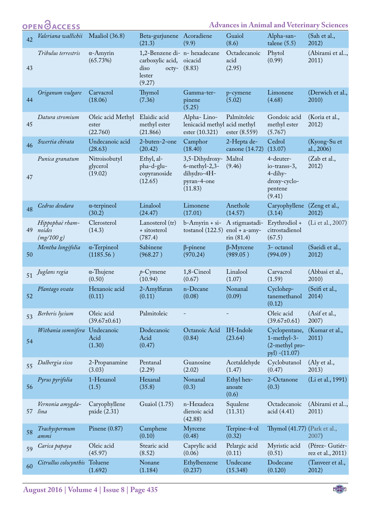|    | <b>OPEN</b> OACCESS                     |                                        |                                                                                        |                                                                             | <b>Advances in Animal and Veterinary Sciences</b> |                                                                           |                                      |  |  |  |
|----|-----------------------------------------|----------------------------------------|----------------------------------------------------------------------------------------|-----------------------------------------------------------------------------|---------------------------------------------------|---------------------------------------------------------------------------|--------------------------------------|--|--|--|
| 42 | Valeriana wallichii                     | Maaliol (36.8)                         | Beta-gurjunene Acoradiene<br>(21.3)                                                    | (9.9)                                                                       | Guaiol<br>(8.6)                                   | Alpha-san-<br>talene $(5.5)$                                              | (Sah et al.,<br>2012)                |  |  |  |
| 43 | Tribulus terrestris                     | $\alpha$ -Amyrin<br>(65.73%)           | 1,2-Benzene di- n- hexadecane<br>carboxylic acid,<br>diso<br>octy-<br>lester<br>(9.27) | oicacid<br>(8.83)                                                           | Octadecanoic<br>acid<br>(2.95)                    | Phytol<br>(0.99)                                                          | (Abirami et al,<br>2011)             |  |  |  |
| 44 | Origanum vulgare                        | Carvacrol<br>(18.06)                   | Thymol<br>(7.36)                                                                       | Gamma-ter-<br>pinene<br>(5.25)                                              | p-cymene<br>(5.02)                                | Limonene<br>(4.68)                                                        | (Derwich et al.,<br>2010)            |  |  |  |
| 45 | Datura stromium                         | Oleic acid Methyl<br>ester<br>(22.760) | Elaidic acid<br>methyl ester<br>(21.866)                                               | Alpha-Lino-<br>lenicacid methyl acid methyl<br>ester (10.321)               | Palmitoleic<br>ester (8.559)                      | Gondoic acid<br>methyl ester<br>(5.767)                                   | (Koria et al.,<br>2012)              |  |  |  |
| 46 | Swertia chirata                         | Undecanoic acid<br>(28.63)             | 2-buten-2-one<br>(20.42)                                                               | Camphor<br>(18.40)                                                          | 2-Hepta de-<br>canone (14.72)                     | Cedrol<br>(13.07)                                                         | (Kyong-Su et<br>al., 2006)           |  |  |  |
| 47 | Punica granatum                         | Nitroisobutyl<br>glycerol<br>(19.02)   | Ethyl, al-<br>pha-d-glu-<br>copyranoside<br>(12.65)                                    | 3,5-Dihydroxy-<br>$6$ -methyl-2,3-<br>dihydro-4H-<br>pyran-4-one<br>(11.83) | Maltol<br>(9.46)                                  | 4-deuter-<br>io-transs-3,<br>4-dihy-<br>droxy-cyclo-<br>pentene<br>(9.41) | (Zab et al.,<br>2012)                |  |  |  |
| 48 | Cedrus deodara                          | $\alpha$ -terpineol<br>(30.2)          | Linalool<br>(24.47)                                                                    | Limonene<br>(17.01)                                                         | Anethole<br>(14.57)                               | Caryophyllene<br>(3.14)                                                   | (Zeng et al.,<br>2012)               |  |  |  |
| 49 | Hippophaë rham-<br>noides<br>(mg/100 g) | Clerosterol<br>(14.3)                  | Lanosterol (tr)<br>+ sitosterol<br>(787.4)                                             | b-Amyrin + si-<br>tostanol $(122.5)$ enol + a-amy-                          | A stigmastadi-<br>$\sin(81.4)$                    | Erythrodiol +<br>citrostadienol<br>(67.5)                                 | (Li et al., 2007)                    |  |  |  |
| 50 | Mentha longifolia                       | $\alpha$ -Terpineol<br>(1185.56)       | Sabinene<br>(968.27)                                                                   | $\beta$ -pinene<br>(970.24)                                                 | $\beta$ -Myrcene<br>(989.05)                      | 3- octanol<br>(994.09)                                                    | (Saeidi et al.,<br>2012)             |  |  |  |
| 51 | Juglans regia                           | $\alpha$ -Thujene<br>(0.50)            | $p$ -Cymene<br>(10.94)                                                                 | 1,8-Cineol<br>(0.67)                                                        | Linalool<br>(1.07)                                | Carvacrol<br>(1.59)                                                       | (Abbasi et al.,<br>2010)             |  |  |  |
| 52 | Plantago ovata                          | Hexanoic acid<br>(0.11)                | 2-Amylfuran<br>(0.11)                                                                  | n-Decane<br>(0.08)                                                          | Nonanal<br>(0.09)                                 | Cyclohep-<br>tanemethanol<br>(0.12)                                       | (Seifi et al.,<br>2014)              |  |  |  |
| 53 | Berberis lycium                         | Oleic acid<br>$(39.67 \pm 0.61)$       | Palmitoleic                                                                            |                                                                             |                                                   | Oleic acid<br>$(39.67 \pm 0.61)$                                          | (Asif et al.,<br>2007)               |  |  |  |
| 54 | Withania somnifera Undecanoic           | Acid<br>(1.30)                         | Dodecanoic<br>Acid<br>(0.47)                                                           | Octanoic Acid<br>(0.84)                                                     | IH-Indole<br>(23.64)                              | Cyclopentane,<br>1-methyl-3-<br>(2-methyl pro-<br>pyl) $-(11.07)$         | (Kumar et al.,<br>2011)              |  |  |  |
| 55 | Dalbergia sisso                         | 2-Propanamine<br>(3.03)                | Pentanal<br>(2.29)                                                                     | Guanosine<br>(2.02)                                                         | Acetaldehyde<br>(1.47)                            | Cyclobutanol<br>(0.47)                                                    | (Aly et al.,<br>2013)                |  |  |  |
| 56 | Pyrus pyrifolia                         | 1-Hexanol<br>(1.5)                     | Hexanal<br>(35.8)                                                                      | Nonanal<br>(0.3)                                                            | Ethyl hex-<br>anoate<br>(0.6)                     | 2-Octanone<br>(0.3)                                                       | (Li et al., 1991)                    |  |  |  |
| 57 | Vernonia amygda-<br>lina                | Caryophyllene<br>pxide $(2.31)$        | Guaiol (1.75)                                                                          | n-Hexadeca<br>dienoic acid<br>(42.88)                                       | Squalene<br>(11.31)                               | Octadecanoic<br>acid (4.41)                                               | (Abirami et al,<br>2011)             |  |  |  |
| 58 | Trachyspermum<br>ammi                   | Pinene $(0.87)$                        | Camphene<br>(0.10)                                                                     | Myrcene<br>(0.48)                                                           | Terpine-4-ol<br>(0.32)                            | Thymol (41.77) (Park et al.,                                              | 2007)                                |  |  |  |
| 59 | Carica papaya                           | Oleic acid<br>(45.97)                  | Stearic acid<br>(8.52)                                                                 | Caprylic acid<br>(0.06)                                                     | Pelargic acid<br>(0.11)                           | Myristic acid<br>(0.51)                                                   | (Pérez- Gutiér-<br>rez et al., 2011) |  |  |  |
| 60 | Citrullus colocynthis                   | Toluene<br>(1.692)                     | Nonane<br>(1.184)                                                                      | Ethylbenzene<br>(0.237)                                                     | Undecane<br>(15.348)                              | Dodecane<br>(0.120)                                                       | (Tanveer et al.,<br>2012)            |  |  |  |
|    |                                         |                                        |                                                                                        |                                                                             |                                                   |                                                                           |                                      |  |  |  |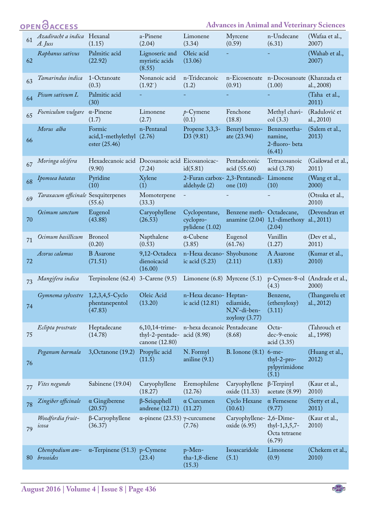|    | <b>OPEN</b> OACCESS                    |                                                           |                                                     |                                                         | <b>Advances in Animal and Veterinary Sciences</b> |                                                     |                                        |
|----|----------------------------------------|-----------------------------------------------------------|-----------------------------------------------------|---------------------------------------------------------|---------------------------------------------------|-----------------------------------------------------|----------------------------------------|
| 61 | Azadiracht a indica Hexanal<br>A. Juss | (1.15)                                                    | a-Pinene<br>(2.04)                                  | Limonene<br>(3.34)                                      | Myrcene<br>(0.59)                                 | n-Undecane<br>(6.31)                                | (Wafaa et al.,<br>2007)                |
| 62 | Raphanus sativus                       | Palmitic acid<br>(22.92)                                  | Lignoseric and<br>myristic acids<br>(8.55)          | Oleic acid<br>(13.06)                                   |                                                   |                                                     | (Wahab et al.,<br>2007)                |
| 63 | Tamarindus indica                      | 1-Octanoate<br>(0.3)                                      | Nonanoic acid<br>(1.92)                             | n-Tridecanoic<br>(1.2)                                  | (0.91)                                            | n-Eicosenoate n-Docosanoate (Khanzada et<br>(1.00)  | al., 2008)                             |
| 64 | Pisum sativum L                        | Palmitic acid<br>(30)                                     |                                                     |                                                         |                                                   |                                                     | (Taha et al.,<br>2011)                 |
| 65 | Foeniculum vulgare                     | $\alpha$ -Pinene<br>(1.7)                                 | Limonene<br>(2.7)                                   | $p$ -Cymene<br>(0.1)                                    | Fenchone<br>(18.8)                                | Methyl chavi-<br>col(3.3)                           | (Radulović et<br>al., 2010)            |
| 66 | Morus alba                             | Formic<br>acid,1-methylethyl (2.76)<br>ester (25.46)      | n-Pentanal                                          | Propene 3,3,3-<br>D <sub>3</sub> (9.81)                 | Benzyl benzo-<br>ate $(23.94)$                    | Benzeneetha-<br>namine,<br>2-fluoro- beta<br>(6.41) | (Salem et al.,<br>2013)                |
| 67 | Moringa oleifera                       | Hexadecanoic acid Docosanoic acid Eicosanoicac-<br>(9.90) | (7.24)                                              | id(5.81)                                                | Pentadeconic<br>acid (55.60)                      | Tetracosanoic<br>acid (3.78)                        | (Gaikwad et al.,<br>2011)              |
| 68 | Ipomoea batatas                        | Pyridine<br>(10)                                          | Xylene<br>(1)                                       | 2-Furan carbox- 2,3-Pentanedi- Limonene<br>aldehyde (2) | one (10)                                          | (10)                                                | (Wang et al.,<br>2000)                 |
| 69 | Taraxacum officinale Sesquiterpenes    | (55.6)                                                    | Momoterpene<br>(33.3)                               | $\blacksquare$                                          |                                                   |                                                     | (Otsuka et al.,<br>2010)               |
| 70 | Ocimum sanctum                         | Eugenol<br>(43.88)                                        | Caryophyllene<br>(26.53)                            | Cyclopentane,<br>cyclopro-<br>pylidene (1.02)           | Benzene meth-Octadecane,                          | anamine $(2.04)$ 1,1-dimethoxy<br>(2.04)            | (Devendran et<br>al., 2011)            |
| 71 | Ocimum basillicum                      | <b>Broneol</b><br>(0.20)                                  | Napthalene<br>(0.53)                                | $\alpha$ -Cubene<br>(3.85)                              | Eugenol<br>(61.76)                                | Vanillin<br>(1.27)                                  | (Dev et al.,<br>2011)                  |
| 72 | Acorus calamus                         | <b>B</b> Asarone<br>(71.51)                               | 9,12-Octadeca<br>dienoicacid<br>(16.00)             | n-Hexa decano- Shyobunone<br>ic acid $(5.23)$           | (2.11)                                            | A Asarone<br>(1.83)                                 | (Kumar et al.,<br>2010)                |
| 73 | Mangifera indica                       | Terpinolene $(62.4)$ 3-Carene $(9.5)$                     |                                                     | Limonene $(6.8)$ Myrcene $(5.1)$                        |                                                   | (4.3)                                               | p-Cymen-8-ol (Andrade et al.,<br>2000) |
| 74 | Gymnema sylvestre 1,2,3,4,5-Cyclo      | phentanepentol<br>(47.83)                                 | Oleic Acid<br>(13.20)                               | n-Hexa decano- Heptan-<br>ic acid (12.81)               | ediamide,<br>N,N'-di-ben-<br>zoyloxy $(3.77)$     | Benzene,<br>(ethenyloxy)<br>(3.11)                  | (Thangavelu et<br>al., 2012)           |
| 75 | Eclipta prostrate                      | Heptadecane<br>(14.78)                                    | 6,10,14-trime-<br>thyl-2-pentade-<br>canone (12.80) | n-hexa decanoic Pentadecane<br>acid (8.98)              | (8.68)                                            | Octa-<br>dec-9-enoic<br>acid (3.35)                 | (Tahrouch et<br>al., 1998)             |
| 76 | Peganum harmala                        | 3, Octanone (19.2)                                        | Propylic acid<br>(11.5)                             | N. Formyl<br>aniline $(9.1)$                            | B. Ionone $(8.1)$                                 | $6$ -me-<br>$thyl-2-pro-$<br>pylpyrimidone<br>(5.1) | (Huang et al.,<br>2012)                |
| 77 | Vites negundo                          | Sabinene (19.04)                                          | Caryophyllene<br>(18.27)                            | Eremophilene<br>(12.76)                                 | Caryophyllene<br>oxide (11.33)                    | $\beta$ -Terpinyl<br>acetate(8.99)                  | (Kaur et al.,<br>2010)                 |
| 78 | Zingiber officinale                    | $\alpha$ Gingiberene<br>(20.57)                           | $\beta$ -Seiquphell<br>andrene $(12.71)$            | $\alpha$ Curcumen<br>(11.27)                            | Cyclo Hexane<br>(10.61)                           | $\alpha$ Fernesene<br>(9.77)                        | (Setty et al.,<br>2011)                |
| 79 | Woodfordia fruit-<br>icosa             | $\beta$ -Caryophyllene<br>(36.37)                         | $\alpha$ -pinene (23.53) γ-curcumene                | (7.76)                                                  | Caryophyllene- 2,6-Dime-<br>oxide (6.95)          | thyl- $1,3,5,7$ -<br>Octa tetraene<br>(6.79)        | (Kaur et al.,<br>2010)                 |
| 80 | Chenopodium am-<br>brosoides           | $\alpha$ -Terpinene (51.3) p-Cymene                       | (23.4)                                              | p-Men-<br>tha-1,8-diene<br>(15.3)                       | Isoascaridole<br>(5.1)                            | Limonene<br>(0.9)                                   | (Chekem et al.,<br>2010)               |